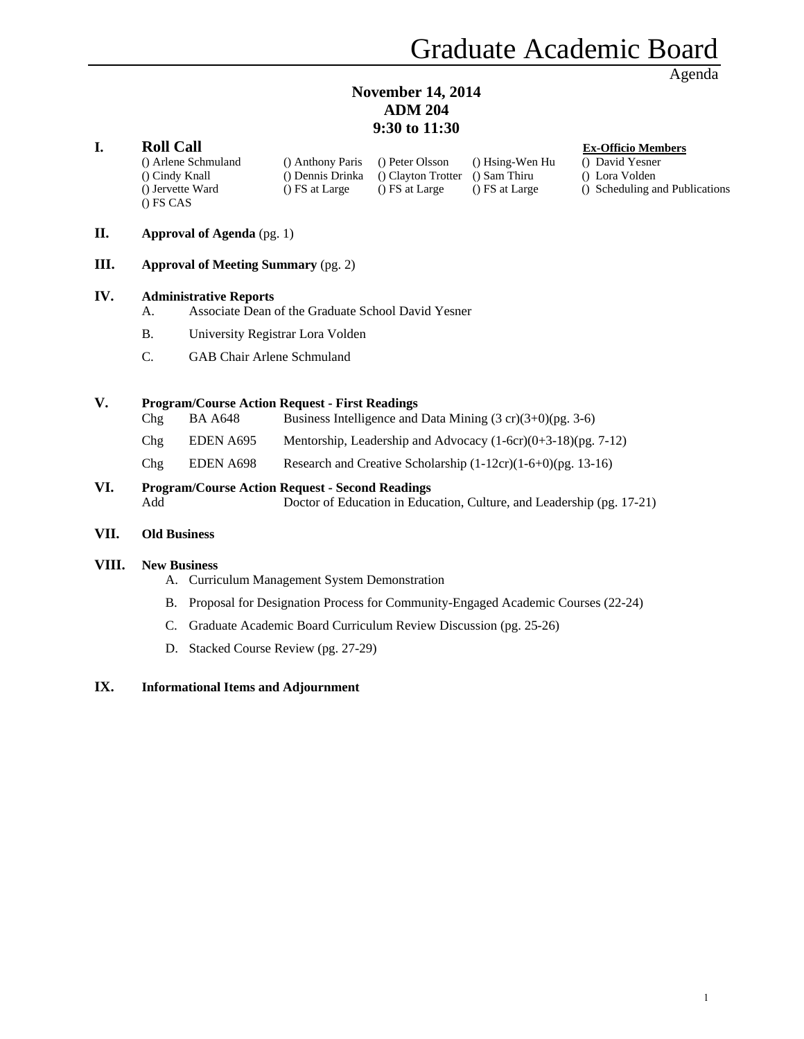# **November 14, 2014 ADM 204 9:30 to 11:30**

#### **I. Roll Call Ex-Officio Members**

() Arlene Schmuland () Anthony Paris () Peter Olsson () Hsing-Wen Hu () David Yesner () Cindy Knall () Dennis Drinka () Clayton Trotter () Sam Thiru () Lora Volden () Jervette Ward () FS at Large () FS at Large () FS at Large () Scheduling and Publications () FS CAS

#### **II. Approval of Agenda** (pg. 1)

**III. Approval of Meeting Summary** (pg. 2)

#### **IV. Administrative Reports**

- A. Associate Dean of the Graduate School David Yesner
- B. University Registrar Lora Volden
- C. GAB Chair Arlene Schmuland

#### **V. Program/Course Action Request - First Readings**

| Chg | BA A648   | Business Intelligence and Data Mining $(3 \text{ cr})(3+0)$ (pg. 3-6) |
|-----|-----------|-----------------------------------------------------------------------|
| Chg | EDEN A695 | Mentorship, Leadership and Advocacy $(1-6cr)(0+3-18)(pg. 7-12)$       |
| Chg | EDEN A698 | Research and Creative Scholarship $(1-12cr)(1-6+0)$ (pg. 13-16)       |

# **VI. Program/Course Action Request - Second Readings**

Add Doctor of Education in Education, Culture, and Leadership (pg. 17-21)

#### **VII. Old Business**

#### **VIII. New Business**

- A. Curriculum Management System Demonstration
- B. Proposal for Designation Process for Community-Engaged Academic Courses (22-24)
- C. Graduate Academic Board Curriculum Review Discussion (pg. 25-26)
- D. Stacked Course Review (pg. 27-29)

#### **IX. Informational Items and Adjournment**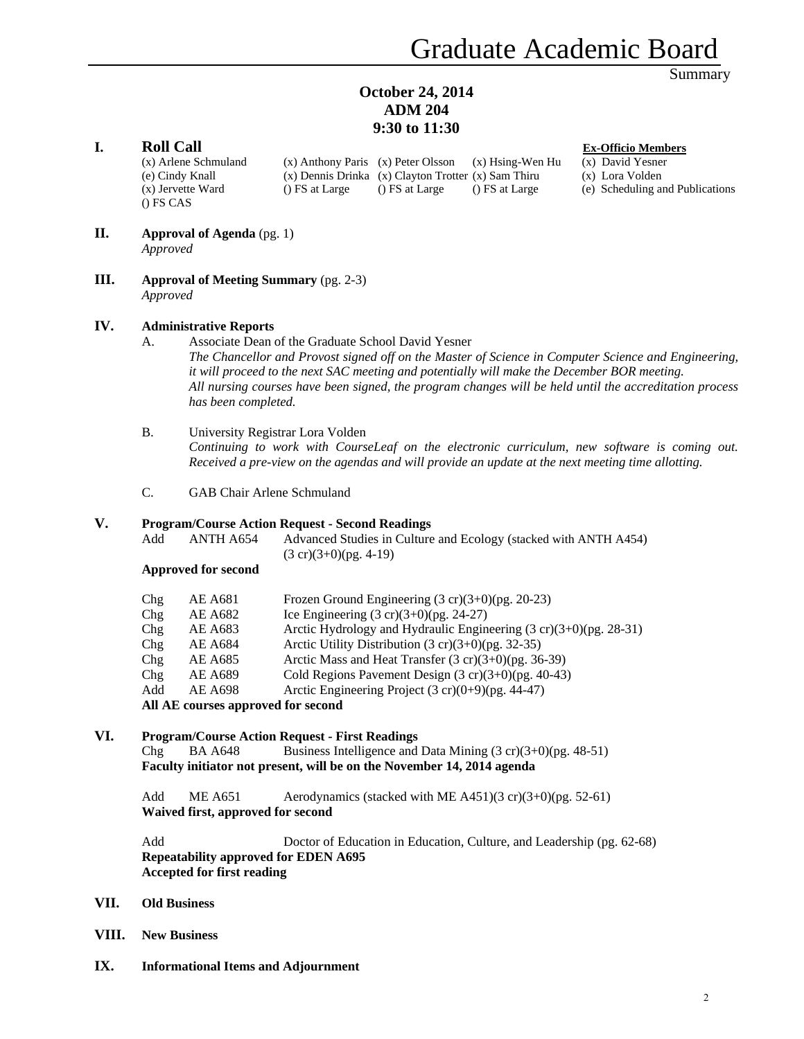#### **October 24, 2014 ADM 204 9:30 to 11:30**

#### **I. Roll Call Ex-Officio Members**

(x) Arlene Schmuland (x) Anthony Paris (x) Peter Olsson (x) Hsing-Wen Hu (x) David Yesner (e) Cindy Knall (x) Dennis Drinka (x) Clayton Trotter (x) Sam Thiru (x) Lora Volden (x) Jervette Ward () FS at Large () FS at Large () FS at Large (e) Scheduling and Publications () FS CAS

- **II. Approval of Agenda** (pg. 1) *Approved*
- **III. Approval of Meeting Summary** (pg. 2-3) *Approved*

#### **IV. Administrative Reports**

- A. Associate Dean of the Graduate School David Yesner *The Chancellor and Provost signed off on the Master of Science in Computer Science and Engineering, it will proceed to the next SAC meeting and potentially will make the December BOR meeting. All nursing courses have been signed, the program changes will be held until the accreditation process has been completed.*
- B. University Registrar Lora Volden *Continuing to work with CourseLeaf on the electronic curriculum, new software is coming out. Received a pre-view on the agendas and will provide an update at the next meeting time allotting.*
- C. GAB Chair Arlene Schmuland

#### **V. Program/Course Action Request - Second Readings**

| Add | ANTH A654 | Advanced Studies in Culture and Ecology (stacked with ANTH A454) |
|-----|-----------|------------------------------------------------------------------|
|     |           | $(3 \text{ cr})(3+0)$ (pg. 4-19)                                 |

#### **Approved for second**

| Chg | <b>AE A681</b>                     | Frozen Ground Engineering $(3 \text{ cr})(3+0)$ (pg. 20-23)                  |
|-----|------------------------------------|------------------------------------------------------------------------------|
| Chg | AE A682                            | Ice Engineering $(3 \text{ cr})(3+0)$ (pg. 24-27)                            |
| Chg | AE A683                            | Arctic Hydrology and Hydraulic Engineering $(3 \text{ cr})(3+0)$ (pg. 28-31) |
| Chg | <b>AE A684</b>                     | Arctic Utility Distribution $(3 \text{ cr})(3+0)$ (pg. 32-35)                |
| Chg | AE A685                            | Arctic Mass and Heat Transfer $(3 \text{ cr})(3+0)$ (pg. 36-39)              |
| Chg | <b>AE A689</b>                     | Cold Regions Pavement Design $(3 \text{ cr})(3+0)$ (pg. 40-43)               |
| Add | <b>AE A698</b>                     | Arctic Engineering Project $(3 \text{ cr})(0+9)$ (pg. 44-47)                 |
|     | All AE courses approved for second |                                                                              |

#### **VI. Program/Course Action Request - First Readings**

Chg BA A648 Business Intelligence and Data Mining  $(3 \text{ cr})(3+0)$ (pg. 48-51) **Faculty initiator not present, will be on the November 14, 2014 agenda**

Add ME A651 Aerodynamics (stacked with ME A451)(3 cr)(3+0)(pg. 52-61) **Waived first, approved for second** 

 Add Doctor of Education in Education, Culture, and Leadership (pg. 62-68) **Repeatability approved for EDEN A695 Accepted for first reading** 

- **VII. Old Business**
- **VIII. New Business**
- **IX. Informational Items and Adjournment**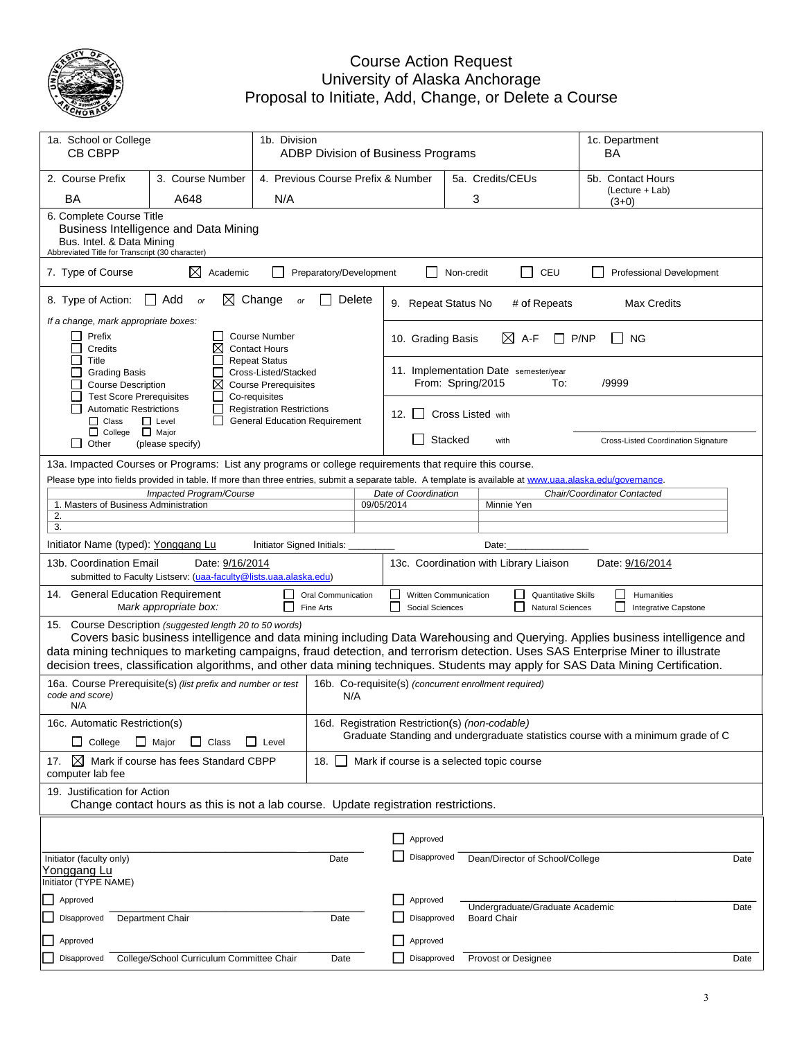

#### Proposa Cou Univers al to Initiate urse Action ity of Alask , Add, Cha Request ka Anchorag nge, or Del ge lete a Course

| 1a. School or College<br>1b. Division<br>CB CBPP                                                                                                                                                                                                                                                                   |                                                                                                                                                                                                                                                                                                                                                                                                                                                                     |                                                                                              |                                                                                                                                   |            | ADBP Division of Business Programs       | 1c. Department<br>BA |                                                                              |                                                            |
|--------------------------------------------------------------------------------------------------------------------------------------------------------------------------------------------------------------------------------------------------------------------------------------------------------------------|---------------------------------------------------------------------------------------------------------------------------------------------------------------------------------------------------------------------------------------------------------------------------------------------------------------------------------------------------------------------------------------------------------------------------------------------------------------------|----------------------------------------------------------------------------------------------|-----------------------------------------------------------------------------------------------------------------------------------|------------|------------------------------------------|----------------------|------------------------------------------------------------------------------|------------------------------------------------------------|
| 2. Course Prefix                                                                                                                                                                                                                                                                                                   | 3. Course Number                                                                                                                                                                                                                                                                                                                                                                                                                                                    |                                                                                              | 4. Previous Course Prefix & Number                                                                                                |            |                                          |                      | 5a. Credits/CEUs                                                             | 5b. Contact Hours                                          |
| <b>BA</b><br>A648<br>N/A                                                                                                                                                                                                                                                                                           |                                                                                                                                                                                                                                                                                                                                                                                                                                                                     |                                                                                              |                                                                                                                                   |            |                                          |                      | 3                                                                            | (Lecture + Lab)<br>(3+0)                                   |
|                                                                                                                                                                                                                                                                                                                    | 6. Complete Course Title<br>Business Intelligence and Data Mining<br>Bus. Intel. & Data Mining<br>Abbreviated Title for Transcript (30 character)                                                                                                                                                                                                                                                                                                                   |                                                                                              |                                                                                                                                   |            |                                          |                      |                                                                              |                                                            |
| 7. Type of Course                                                                                                                                                                                                                                                                                                  | $\boxtimes$ Academic                                                                                                                                                                                                                                                                                                                                                                                                                                                |                                                                                              | Preparatory/Development                                                                                                           |            |                                          | Non-credit           | $\blacksquare$<br>CEU                                                        | <b>Professional Development</b>                            |
| 8. Type of Action:                                                                                                                                                                                                                                                                                                 | ∣ I Add<br>or                                                                                                                                                                                                                                                                                                                                                                                                                                                       | $\boxtimes$ Change<br>or                                                                     | Delete                                                                                                                            |            | 9. Repeat Status No                      |                      | # of Repeats                                                                 | <b>Max Credits</b>                                         |
| If a change, mark appropriate boxes:<br>Prefix<br>Credits                                                                                                                                                                                                                                                          | ⊠                                                                                                                                                                                                                                                                                                                                                                                                                                                                   | <b>Course Number</b><br><b>Contact Hours</b>                                                 |                                                                                                                                   |            | 10. Grading Basis                        |                      | $\boxtimes$ A-F                                                              | P/NP<br><b>NG</b>                                          |
| Title<br><b>Grading Basis</b><br><b>Course Description</b><br><b>Test Score Prerequisites</b>                                                                                                                                                                                                                      | ⊠                                                                                                                                                                                                                                                                                                                                                                                                                                                                   | <b>Repeat Status</b><br>Cross-Listed/Stacked<br><b>Course Prerequisites</b><br>Co-requisites |                                                                                                                                   |            |                                          |                      | 11. Implementation Date semester/year<br>From: Spring/2015<br>To:            | /9999                                                      |
| <b>Automatic Restrictions</b><br>$\Box$ Class                                                                                                                                                                                                                                                                      | $\Box$<br>$\Box$ Level                                                                                                                                                                                                                                                                                                                                                                                                                                              | <b>Registration Restrictions</b><br><b>General Education Requirement</b>                     |                                                                                                                                   |            | 12. $\vert$ 1                            |                      | Cross Listed with                                                            |                                                            |
| □ College □ Major<br>$\Box$ Other                                                                                                                                                                                                                                                                                  | (please specify)                                                                                                                                                                                                                                                                                                                                                                                                                                                    |                                                                                              |                                                                                                                                   |            |                                          | Stacked              | with                                                                         | Cross-Listed Coordination Signature                        |
| 13a. Impacted Courses or Programs: List any programs or college requirements that require this course.<br>Please type into fields provided in table. If more than three entries, submit a separate table. A template is available at www.uaa.alaska.edu/governance.<br>1. Masters of Business Administration<br>2. | Impacted Program/Course                                                                                                                                                                                                                                                                                                                                                                                                                                             |                                                                                              |                                                                                                                                   | 09/05/2014 | Date of Coordination                     |                      | Minnie Yen                                                                   | Chair/Coordinator Contacted                                |
| 3.                                                                                                                                                                                                                                                                                                                 |                                                                                                                                                                                                                                                                                                                                                                                                                                                                     |                                                                                              |                                                                                                                                   |            |                                          |                      |                                                                              |                                                            |
| Initiator Name (typed): Yonggang Lu                                                                                                                                                                                                                                                                                |                                                                                                                                                                                                                                                                                                                                                                                                                                                                     | Initiator Signed Initials:                                                                   |                                                                                                                                   |            |                                          |                      | Date:                                                                        |                                                            |
| 13b. Coordination Email                                                                                                                                                                                                                                                                                            | Date: 9/16/2014<br>submitted to Faculty Listserv: (uaa-faculty@lists.uaa.alaska.edu)                                                                                                                                                                                                                                                                                                                                                                                |                                                                                              |                                                                                                                                   |            |                                          |                      | 13c. Coordination with Library Liaison                                       | Date: 9/16/2014                                            |
| 14. General Education Requirement                                                                                                                                                                                                                                                                                  | Mark appropriate box:                                                                                                                                                                                                                                                                                                                                                                                                                                               | $\Box$                                                                                       | Oral Communication<br>Fine Arts                                                                                                   |            | Written Communication<br>Social Sciences |                      | <b>Quantitative Skills</b><br>H<br>$\blacksquare$<br><b>Natural Sciences</b> | $\Box$<br>Humanities<br>l 1<br><b>Integrative Capstone</b> |
|                                                                                                                                                                                                                                                                                                                    | 15. Course Description (suggested length 20 to 50 words)<br>Covers basic business intelligence and data mining including Data Warehousing and Querying. Applies business intelligence and<br>data mining techniques to marketing campaigns, fraud detection, and terrorism detection. Uses SAS Enterprise Miner to illustrate<br>decision trees, classification algorithms, and other data mining techniques. Students may apply for SAS Data Mining Certification. |                                                                                              |                                                                                                                                   |            |                                          |                      |                                                                              |                                                            |
| 16a. Course Prerequisite(s) (list prefix and number or test<br>code and score)<br>N/A                                                                                                                                                                                                                              |                                                                                                                                                                                                                                                                                                                                                                                                                                                                     |                                                                                              | N/A                                                                                                                               |            |                                          |                      | 16b. Co-requisite(s) (concurrent enrollment required)                        |                                                            |
| 16c. Automatic Restriction(s)<br>College<br>$\mathsf{L}$                                                                                                                                                                                                                                                           | $\Box$ Major<br>Class<br>$\mathsf{L}$                                                                                                                                                                                                                                                                                                                                                                                                                               | Level                                                                                        | 16d. Registration Restriction(s) (non-codable)<br>Graduate Standing and undergraduate statistics course with a minimum grade of C |            |                                          |                      |                                                                              |                                                            |
| $\boxtimes$<br>17.<br>computer lab fee                                                                                                                                                                                                                                                                             | Mark if course has fees Standard CBPP                                                                                                                                                                                                                                                                                                                                                                                                                               |                                                                                              | 18. II                                                                                                                            |            |                                          |                      | Mark if course is a selected topic course                                    |                                                            |
|                                                                                                                                                                                                                                                                                                                    | 19. Justification for Action<br>Change contact hours as this is not a lab course. Update registration restrictions.                                                                                                                                                                                                                                                                                                                                                 |                                                                                              |                                                                                                                                   |            |                                          |                      |                                                                              |                                                            |
|                                                                                                                                                                                                                                                                                                                    |                                                                                                                                                                                                                                                                                                                                                                                                                                                                     |                                                                                              |                                                                                                                                   |            |                                          |                      |                                                                              |                                                            |
|                                                                                                                                                                                                                                                                                                                    |                                                                                                                                                                                                                                                                                                                                                                                                                                                                     |                                                                                              |                                                                                                                                   |            | Approved                                 |                      |                                                                              |                                                            |
| Initiator (faculty only)<br>Yonggang Lu<br>Initiator (TYPE NAME)                                                                                                                                                                                                                                                   |                                                                                                                                                                                                                                                                                                                                                                                                                                                                     |                                                                                              | Date                                                                                                                              |            | Disapproved                              |                      | Dean/Director of School/College                                              | Date                                                       |
| Approved                                                                                                                                                                                                                                                                                                           |                                                                                                                                                                                                                                                                                                                                                                                                                                                                     |                                                                                              |                                                                                                                                   |            | Approved                                 |                      | Undergraduate/Graduate Academic                                              | Date                                                       |
| Disapproved                                                                                                                                                                                                                                                                                                        | <b>Department Chair</b>                                                                                                                                                                                                                                                                                                                                                                                                                                             |                                                                                              | Date                                                                                                                              |            | Disapproved                              |                      | <b>Board Chair</b>                                                           |                                                            |
| Approved                                                                                                                                                                                                                                                                                                           |                                                                                                                                                                                                                                                                                                                                                                                                                                                                     |                                                                                              |                                                                                                                                   |            | Approved                                 |                      |                                                                              |                                                            |
| Disapproved                                                                                                                                                                                                                                                                                                        | College/School Curriculum Committee Chair                                                                                                                                                                                                                                                                                                                                                                                                                           |                                                                                              | Date                                                                                                                              |            | Disapproved                              |                      | Provost or Designee                                                          | Date                                                       |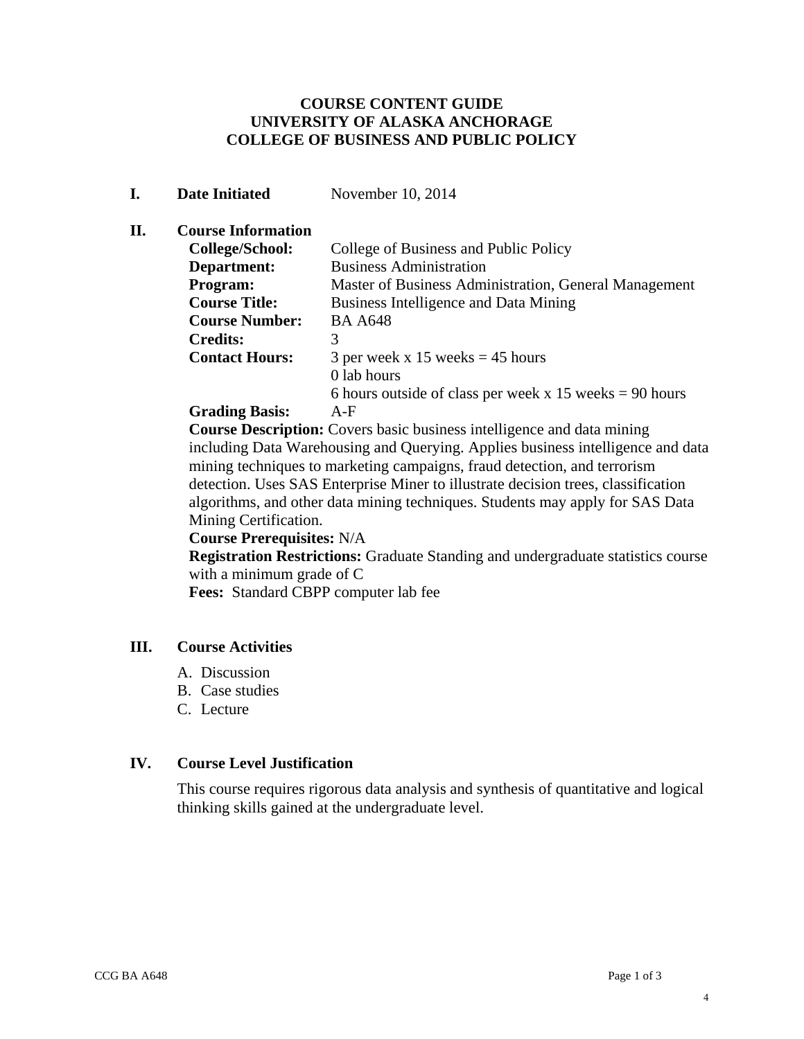#### **COURSE CONTENT GUIDE UNIVERSITY OF ALASKA ANCHORAGE COLLEGE OF BUSINESS AND PUBLIC POLICY**

#### **I. Date Initiated November 10, 2014**

#### **II. Course Information**

| College/School:       | College of Business and Public Policy                     |
|-----------------------|-----------------------------------------------------------|
| Department:           | <b>Business Administration</b>                            |
| Program:              | Master of Business Administration, General Management     |
| <b>Course Title:</b>  | Business Intelligence and Data Mining                     |
| <b>Course Number:</b> | <b>BA A648</b>                                            |
| <b>Credits:</b>       | 3                                                         |
| <b>Contact Hours:</b> | 3 per week x 15 weeks $=$ 45 hours                        |
|                       | 0 lab hours                                               |
|                       | 6 hours outside of class per week x 15 weeks $= 90$ hours |
| <b>Grading Basis:</b> | $A-F$                                                     |

**Course Description:** Covers basic business intelligence and data mining including Data Warehousing and Querying. Applies business intelligence and data mining techniques to marketing campaigns, fraud detection, and terrorism detection. Uses SAS Enterprise Miner to illustrate decision trees, classification algorithms, and other data mining techniques. Students may apply for SAS Data Mining Certification.

#### **Course Prerequisites:** N/A

 **Registration Restrictions:** Graduate Standing and undergraduate statistics course with a minimum grade of C

 **Fees:** Standard CBPP computer lab fee

# **III. Course Activities**

- A. Discussion
- B. Case studies
- C. Lecture

#### **IV. Course Level Justification**

This course requires rigorous data analysis and synthesis of quantitative and logical thinking skills gained at the undergraduate level.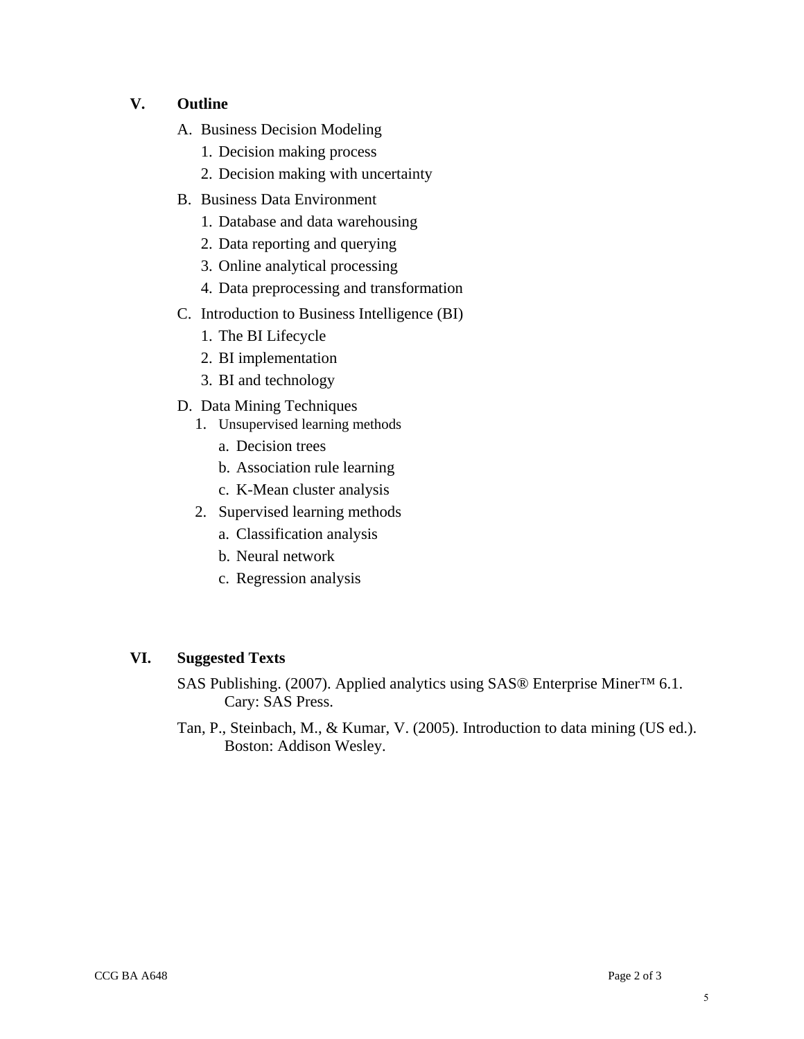#### **V. Outline**

- A. Business Decision Modeling
	- 1. Decision making process
	- 2. Decision making with uncertainty
- B. Business Data Environment
	- 1. Database and data warehousing
	- 2. Data reporting and querying
	- 3. Online analytical processing
	- 4. Data preprocessing and transformation
- C. Introduction to Business Intelligence (BI)
	- 1. The BI Lifecycle
	- 2. BI implementation
	- 3. BI and technology
- D. Data Mining Techniques
	- 1. Unsupervised learning methods
		- a. Decision trees
		- b. Association rule learning
		- c. K-Mean cluster analysis
	- 2. Supervised learning methods
		- a. Classification analysis
		- b. Neural network
		- c. Regression analysis

#### **VI. Suggested Texts**

SAS Publishing. (2007). Applied analytics using SAS® Enterprise Miner™ 6.1. Cary: SAS Press.

Tan, P., Steinbach, M., & Kumar, V. (2005). Introduction to data mining (US ed.). Boston: Addison Wesley.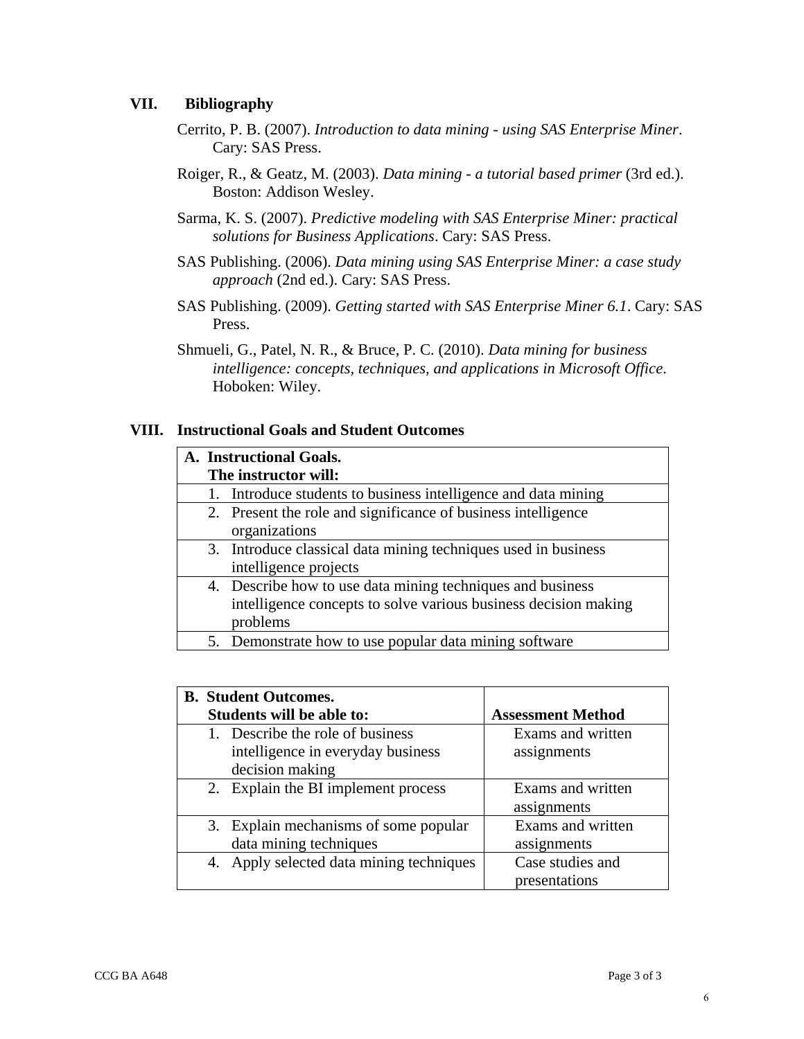#### **VII. Bibliography**

- Cerrito, P. B. (2007). *Introduction to data mining using SAS Enterprise Miner*. Cary: SAS Press.
- Roiger, R., & Geatz, M. (2003). *Data mining a tutorial based primer* (3rd ed.). Boston: Addison Wesley.
- Sarma, K. S. (2007). *Predictive modeling with SAS Enterprise Miner: practical solutions for Business Applications*. Cary: SAS Press.
- SAS Publishing. (2006). *Data mining using SAS Enterprise Miner: a case study approach* (2nd ed.). Cary: SAS Press.
- SAS Publishing. (2009). *Getting started with SAS Enterprise Miner 6.1*. Cary: SAS Press.
- Shmueli, G., Patel, N. R., & Bruce, P. C. (2010). *Data mining for business intelligence: concepts, techniques, and applications in Microsoft Office*. Hoboken: Wiley.

#### **VIII. Instructional Goals and Student Outcomes**

|  | A. Instructional Goals.                                         |
|--|-----------------------------------------------------------------|
|  | The instructor will:                                            |
|  | 1. Introduce students to business intelligence and data mining  |
|  | 2. Present the role and significance of business intelligence   |
|  | organizations                                                   |
|  | 3. Introduce classical data mining techniques used in business  |
|  | intelligence projects                                           |
|  | 4. Describe how to use data mining techniques and business      |
|  | intelligence concepts to solve various business decision making |
|  | problems                                                        |
|  | 5. Demonstrate how to use popular data mining software          |

| <b>B.</b> Student Outcomes.              |                          |
|------------------------------------------|--------------------------|
| <b>Students will be able to:</b>         | <b>Assessment Method</b> |
| 1. Describe the role of business         | Exams and written        |
| intelligence in everyday business        | assignments              |
| decision making                          |                          |
| 2. Explain the BI implement process      | Exams and written        |
|                                          | assignments              |
| 3. Explain mechanisms of some popular    | Exams and written        |
| data mining techniques                   | assignments              |
| 4. Apply selected data mining techniques | Case studies and         |
|                                          | presentations            |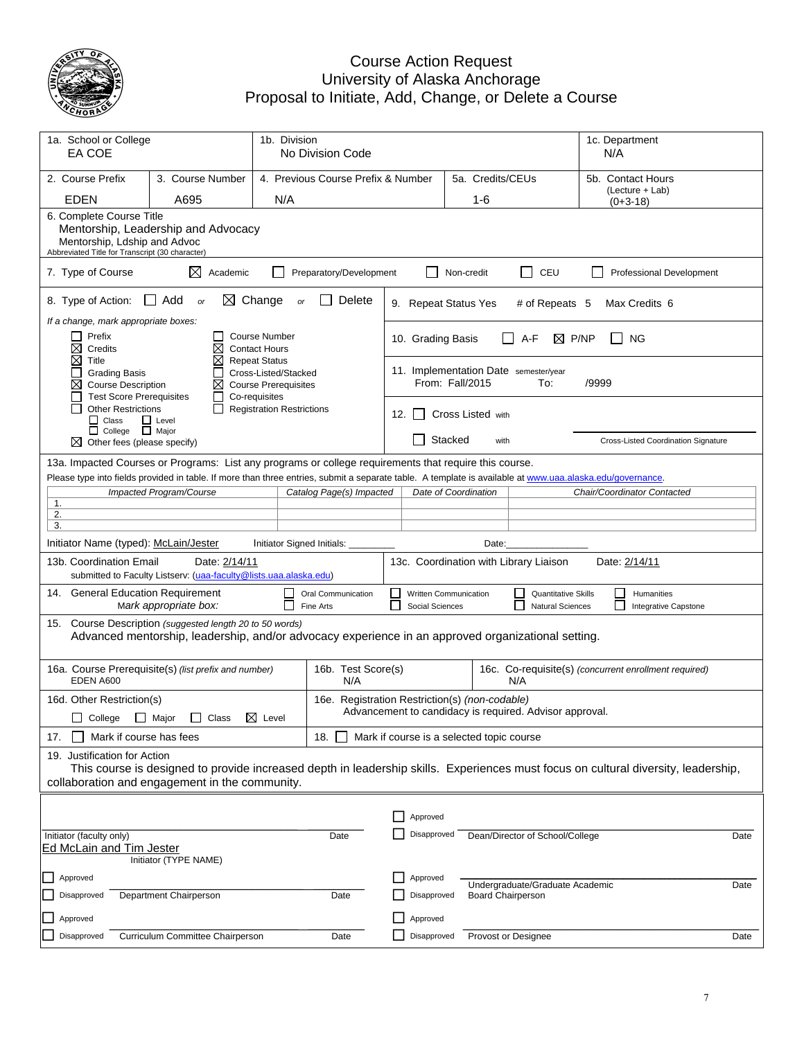

## Course Action Request University of Alaska Anchorage Proposal to Initiate, Add, Change, or Delete a Course

| 1a. School or College<br>EA COE                                                                                                                                                                                      |                                                                                                                                                            | 1b. Division<br>No Division Code                                                             |                                                                                                                                      |       |                                                          |            |                          |                                                                     |                                 |       | 1c. Department<br>N/A                      |      |
|----------------------------------------------------------------------------------------------------------------------------------------------------------------------------------------------------------------------|------------------------------------------------------------------------------------------------------------------------------------------------------------|----------------------------------------------------------------------------------------------|--------------------------------------------------------------------------------------------------------------------------------------|-------|----------------------------------------------------------|------------|--------------------------|---------------------------------------------------------------------|---------------------------------|-------|--------------------------------------------|------|
| 2. Course Prefix                                                                                                                                                                                                     | 3. Course Number                                                                                                                                           |                                                                                              | 4. Previous Course Prefix & Number                                                                                                   |       |                                                          |            | 5a. Credits/CEUs         |                                                                     |                                 |       | 5b. Contact Hours                          |      |
| <b>EDEN</b>                                                                                                                                                                                                          | A695                                                                                                                                                       | N/A                                                                                          |                                                                                                                                      |       |                                                          |            | 1-6                      |                                                                     |                                 |       | (Lecture + Lab)<br>$(0+3-18)$              |      |
|                                                                                                                                                                                                                      | 6. Complete Course Title<br>Mentorship, Leadership and Advocacy<br>Mentorship, Ldship and Advoc<br>Abbreviated Title for Transcript (30 character)         |                                                                                              |                                                                                                                                      |       |                                                          |            |                          |                                                                     |                                 |       |                                            |      |
| 7. Type of Course                                                                                                                                                                                                    | ⊠<br>Academic                                                                                                                                              |                                                                                              | Preparatory/Development                                                                                                              |       |                                                          | Non-credit |                          | $\overline{\phantom{0}}$                                            | CEU                             |       | <b>Professional Development</b>            |      |
| 8. Type of Action:                                                                                                                                                                                                   | $\Box$ Add<br>$\bowtie$<br>or                                                                                                                              | Change<br>or                                                                                 | Delete                                                                                                                               |       | 9. Repeat Status Yes                                     |            |                          |                                                                     | # of Repeats 5                  |       | Max Credits 6                              |      |
| If a change, mark appropriate boxes:<br>Prefix<br>⊠<br>Credits                                                                                                                                                       | $\mathsf{L}$<br>Χ                                                                                                                                          | <b>Course Number</b><br><b>Contact Hours</b>                                                 |                                                                                                                                      |       | 10. Grading Basis                                        |            |                          | A-F                                                                 | P/NP<br>⊠                       |       | <b>NG</b>                                  |      |
| ⊠<br>Title<br><b>Grading Basis</b><br>⊠<br><b>Course Description</b><br><b>Test Score Prerequisites</b>                                                                                                              | $\times$<br>$\Box$<br>⊠<br>$\Box$                                                                                                                          | <b>Repeat Status</b><br>Cross-Listed/Stacked<br><b>Course Prerequisites</b><br>Co-requisites |                                                                                                                                      |       | 11. Implementation Date semester/year<br>From: Fall/2015 |            |                          |                                                                     | To:                             | /9999 |                                            |      |
| <b>Other Restrictions</b><br>$\Box$ Class<br>□ College □ Major                                                                                                                                                       | $\mathbf{I}$<br>$\Box$ Level                                                                                                                               | <b>Registration Restrictions</b>                                                             |                                                                                                                                      | 12.   |                                                          |            | Cross Listed with        |                                                                     |                                 |       |                                            |      |
| ⊠<br>Other fees (please specify)                                                                                                                                                                                     |                                                                                                                                                            |                                                                                              |                                                                                                                                      |       |                                                          | Stacked    | with                     |                                                                     |                                 |       | <b>Cross-Listed Coordination Signature</b> |      |
| 13a. Impacted Courses or Programs: List any programs or college requirements that require this course.                                                                                                               |                                                                                                                                                            |                                                                                              |                                                                                                                                      |       |                                                          |            |                          |                                                                     |                                 |       |                                            |      |
| Please type into fields provided in table. If more than three entries, submit a separate table. A template is available at www.uaa.alaska.edu/governance.                                                            | Impacted Program/Course                                                                                                                                    |                                                                                              | Catalog Page(s) Impacted                                                                                                             |       | Date of Coordination                                     |            |                          |                                                                     |                                 |       | Chair/Coordinator Contacted                |      |
| 1.<br>2.                                                                                                                                                                                                             |                                                                                                                                                            |                                                                                              |                                                                                                                                      |       |                                                          |            |                          |                                                                     |                                 |       |                                            |      |
| 3.                                                                                                                                                                                                                   |                                                                                                                                                            |                                                                                              |                                                                                                                                      |       |                                                          |            |                          |                                                                     |                                 |       |                                            |      |
| Initiator Name (typed): McLain/Jester                                                                                                                                                                                |                                                                                                                                                            | Initiator Signed Initials:                                                                   |                                                                                                                                      | Date: |                                                          |            |                          |                                                                     |                                 |       |                                            |      |
| 13b. Coordination Email                                                                                                                                                                                              | Date: 2/14/11<br>submitted to Faculty Listserv: (uaa-faculty@lists.uaa.alaska.edu)                                                                         |                                                                                              |                                                                                                                                      |       | 13c. Coordination with Library Liaison                   |            |                          |                                                                     |                                 |       | Date: 2/14/11                              |      |
| 14. General Education Requirement                                                                                                                                                                                    | Mark appropriate box:                                                                                                                                      | $\mathbf{L}$                                                                                 | Written Communication<br>Oral Communication<br><b>Quantitative Skills</b><br>Fine Arts<br>Social Sciences<br><b>Natural Sciences</b> |       |                                                          |            |                          | $\Box$<br>Humanities<br>$\mathsf{L}$<br><b>Integrative Capstone</b> |                                 |       |                                            |      |
| 15.                                                                                                                                                                                                                  | Course Description (suggested length 20 to 50 words)<br>Advanced mentorship, leadership, and/or advocacy experience in an approved organizational setting. |                                                                                              |                                                                                                                                      |       |                                                          |            |                          |                                                                     |                                 |       |                                            |      |
| 16a. Course Prerequisite(s) (list prefix and number)<br>EDEN A600                                                                                                                                                    |                                                                                                                                                            |                                                                                              | 16b. Test Score(s)<br>N/A<br>N/A                                                                                                     |       |                                                          |            |                          | 16c. Co-requisite(s) (concurrent enrollment required)               |                                 |       |                                            |      |
| 16d. Other Restriction(s)                                                                                                                                                                                            |                                                                                                                                                            |                                                                                              | 16e. Registration Restriction(s) (non-codable)                                                                                       |       |                                                          |            |                          |                                                                     |                                 |       |                                            |      |
|                                                                                                                                                                                                                      | □ College □ Major □ Class 区 Level                                                                                                                          |                                                                                              | Advancement to candidacy is required. Advisor approval.                                                                              |       |                                                          |            |                          |                                                                     |                                 |       |                                            |      |
| Mark if course has fees<br>17.                                                                                                                                                                                       |                                                                                                                                                            |                                                                                              | 18.                                                                                                                                  |       | Mark if course is a selected topic course                |            |                          |                                                                     |                                 |       |                                            |      |
| 19. Justification for Action<br>This course is designed to provide increased depth in leadership skills. Experiences must focus on cultural diversity, leadership,<br>collaboration and engagement in the community. |                                                                                                                                                            |                                                                                              |                                                                                                                                      |       |                                                          |            |                          |                                                                     |                                 |       |                                            |      |
|                                                                                                                                                                                                                      |                                                                                                                                                            |                                                                                              |                                                                                                                                      |       | Approved                                                 |            |                          |                                                                     |                                 |       |                                            |      |
| Initiator (faculty only)<br>Ed McLain and Tim Jester                                                                                                                                                                 |                                                                                                                                                            |                                                                                              | Date                                                                                                                                 |       | Disapproved                                              |            |                          |                                                                     | Dean/Director of School/College |       |                                            | Date |
|                                                                                                                                                                                                                      | Initiator (TYPE NAME)                                                                                                                                      |                                                                                              |                                                                                                                                      |       |                                                          |            |                          |                                                                     |                                 |       |                                            |      |
| Approved<br>Disapproved                                                                                                                                                                                              | Department Chairperson                                                                                                                                     |                                                                                              | Date                                                                                                                                 |       | Approved<br>Disapproved                                  |            | <b>Board Chairperson</b> |                                                                     | Undergraduate/Graduate Academic |       |                                            | Date |
| Approved                                                                                                                                                                                                             |                                                                                                                                                            |                                                                                              |                                                                                                                                      |       | Approved                                                 |            |                          |                                                                     |                                 |       |                                            |      |
| Disapproved                                                                                                                                                                                                          | Curriculum Committee Chairperson                                                                                                                           |                                                                                              | Date                                                                                                                                 |       | Disapproved                                              |            | Provost or Designee      |                                                                     |                                 |       |                                            | Date |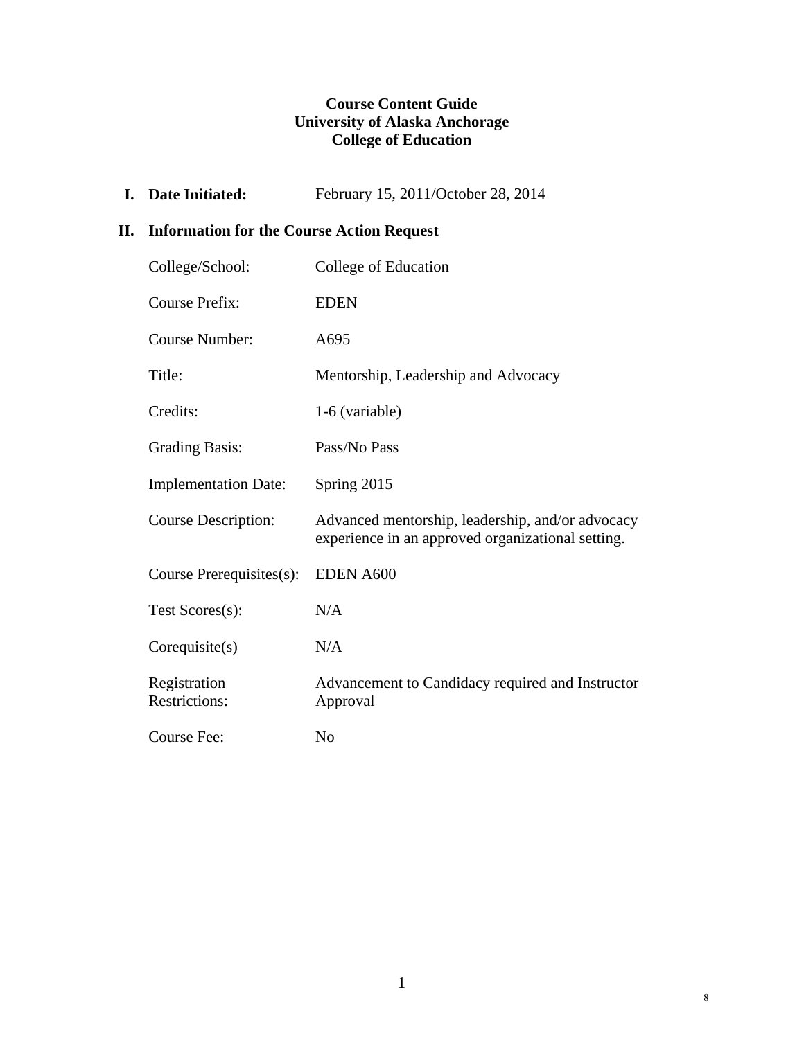# **Course Content Guide University of Alaska Anchorage College of Education**

**I. Date Initiated:** February 15, 2011/October 28, 2014

# **II. Information for the Course Action Request**

| College/School:                      | College of Education                                                                                  |
|--------------------------------------|-------------------------------------------------------------------------------------------------------|
| <b>Course Prefix:</b>                | <b>EDEN</b>                                                                                           |
| Course Number:                       | A695                                                                                                  |
| Title:                               | Mentorship, Leadership and Advocacy                                                                   |
| Credits:                             | 1-6 (variable)                                                                                        |
| <b>Grading Basis:</b>                | Pass/No Pass                                                                                          |
| <b>Implementation Date:</b>          | Spring 2015                                                                                           |
| <b>Course Description:</b>           | Advanced mentorship, leadership, and/or advocacy<br>experience in an approved organizational setting. |
| Course Prerequisites(s):             | EDEN A600                                                                                             |
| Test Scores(s):                      | N/A                                                                                                   |
| Corequisite(s)                       | N/A                                                                                                   |
| Registration<br><b>Restrictions:</b> | Advancement to Candidacy required and Instructor<br>Approval                                          |
| Course Fee:                          | No                                                                                                    |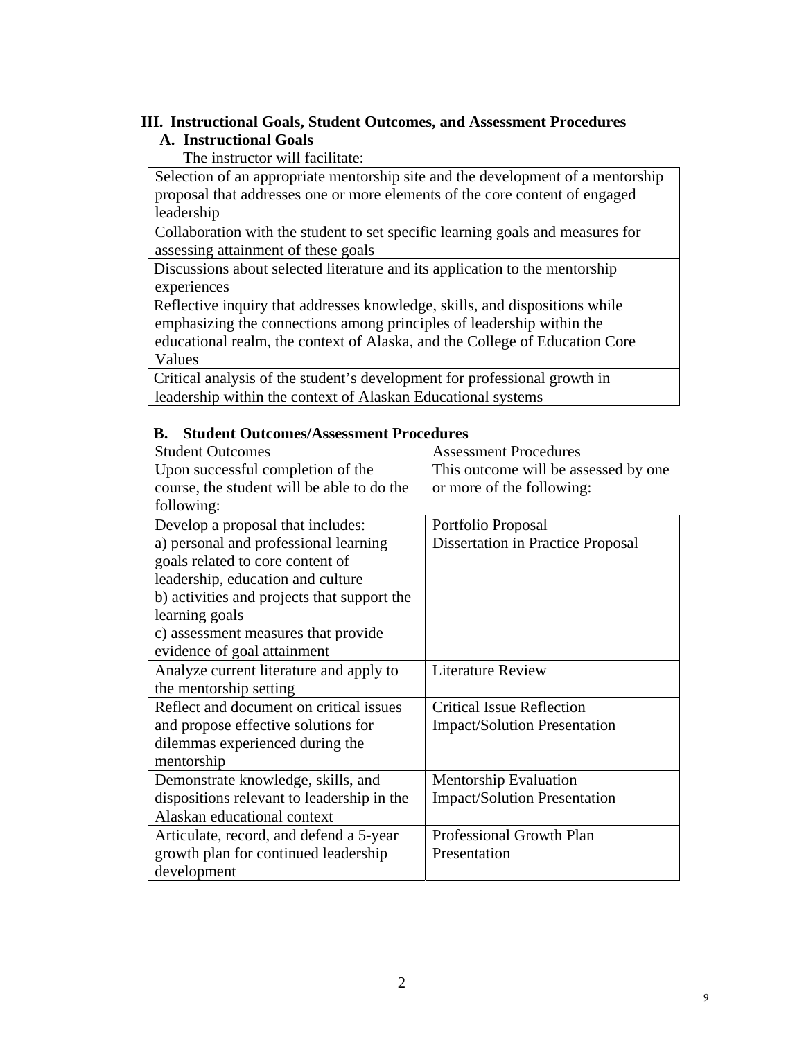#### **III. Instructional Goals, Student Outcomes, and Assessment Procedures**

# **A. Instructional Goals**

The instructor will facilitate:

 Selection of an appropriate mentorship site and the development of a mentorship proposal that addresses one or more elements of the core content of engaged leadership

 Collaboration with the student to set specific learning goals and measures for assessing attainment of these goals

 Discussions about selected literature and its application to the mentorship experiences

 Reflective inquiry that addresses knowledge, skills, and dispositions while emphasizing the connections among principles of leadership within the educational realm, the context of Alaska, and the College of Education Core Values

 Critical analysis of the student's development for professional growth in leadership within the context of Alaskan Educational systems

#### **B. Student Outcomes/Assessment Procedures**

 Student Outcomes Upon successful completion of the course, the student will be able to do the following:

Assessment Procedures This outcome will be assessed by one or more of the following:

| $10110$ wille.                              |                                     |
|---------------------------------------------|-------------------------------------|
| Develop a proposal that includes:           | Portfolio Proposal                  |
| a) personal and professional learning       | Dissertation in Practice Proposal   |
| goals related to core content of            |                                     |
| leadership, education and culture           |                                     |
| b) activities and projects that support the |                                     |
| learning goals                              |                                     |
| c) assessment measures that provide         |                                     |
| evidence of goal attainment                 |                                     |
| Analyze current literature and apply to     | <b>Literature Review</b>            |
| the mentorship setting                      |                                     |
| Reflect and document on critical issues     | <b>Critical Issue Reflection</b>    |
| and propose effective solutions for         | <b>Impact/Solution Presentation</b> |
| dilemmas experienced during the             |                                     |
| mentorship                                  |                                     |
| Demonstrate knowledge, skills, and          | <b>Mentorship Evaluation</b>        |
| dispositions relevant to leadership in the  | <b>Impact/Solution Presentation</b> |
| Alaskan educational context                 |                                     |
| Articulate, record, and defend a 5-year     | Professional Growth Plan            |
| growth plan for continued leadership        | Presentation                        |
| development                                 |                                     |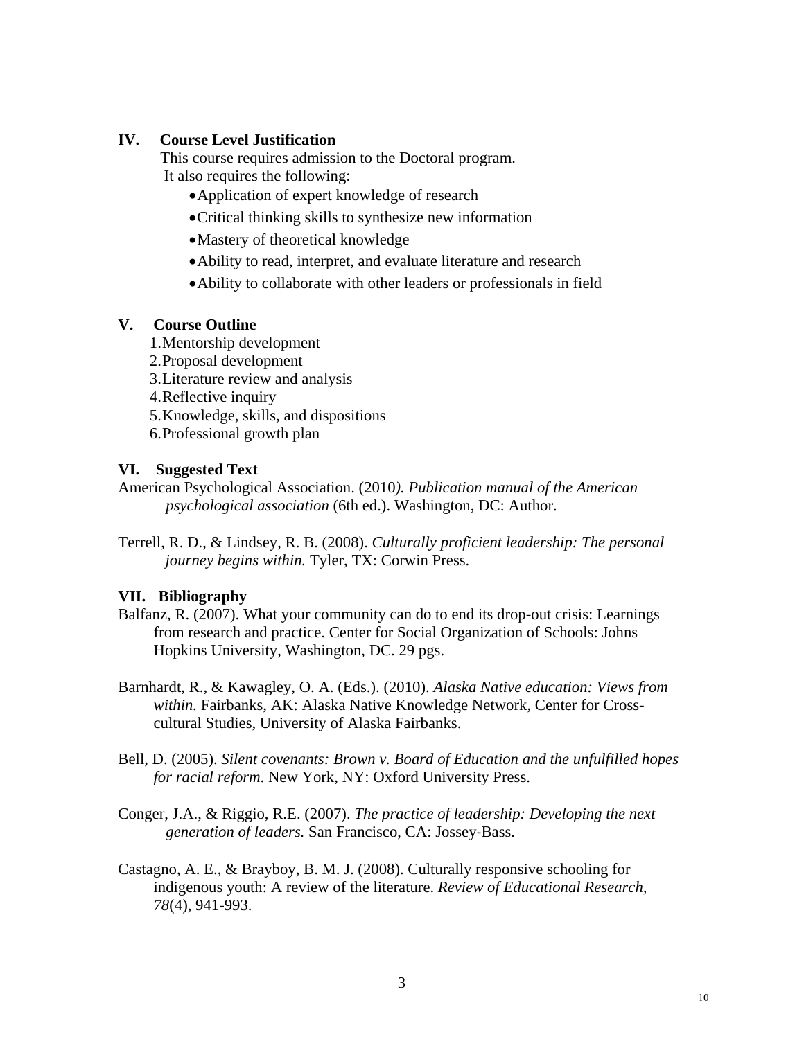## **IV. Course Level Justification**

 This course requires admission to the Doctoral program. It also requires the following:

- Application of expert knowledge of research
- Critical thinking skills to synthesize new information
- Mastery of theoretical knowledge
- Ability to read, interpret, and evaluate literature and research
- Ability to collaborate with other leaders or professionals in field

# **V. Course Outline**

- 1.Mentorship development
- 2.Proposal development
- 3.Literature review and analysis
- 4.Reflective inquiry
- 5.Knowledge, skills, and dispositions
- 6.Professional growth plan

# **VI. Suggested Text**

- American Psychological Association. (2010*). Publication manual of the American psychological association* (6th ed.). Washington, DC: Author.
- Terrell, R. D., & Lindsey, R. B. (2008). *Culturally proficient leadership: The personal journey begins within.* Tyler, TX: Corwin Press.

# **VII. Bibliography**

- Balfanz, R. (2007). What your community can do to end its drop-out crisis: Learnings from research and practice. Center for Social Organization of Schools: Johns Hopkins University, Washington, DC. 29 pgs.
- Barnhardt, R., & Kawagley, O. A. (Eds.). (2010). *Alaska Native education: Views from within.* Fairbanks, AK: Alaska Native Knowledge Network, Center for Crosscultural Studies, University of Alaska Fairbanks.
- Bell, D. (2005). *Silent covenants: Brown v. Board of Education and the unfulfilled hopes for racial reform*. New York, NY: Oxford University Press.
- Conger, J.A., & Riggio, R.E. (2007). *The practice of leadership: Developing the next generation of leaders.* San Francisco, CA: Jossey‐Bass.
- Castagno, A. E., & Brayboy, B. M. J. (2008). Culturally responsive schooling for indigenous youth: A review of the literature. *Review of Educational Research, 78*(4), 941-993.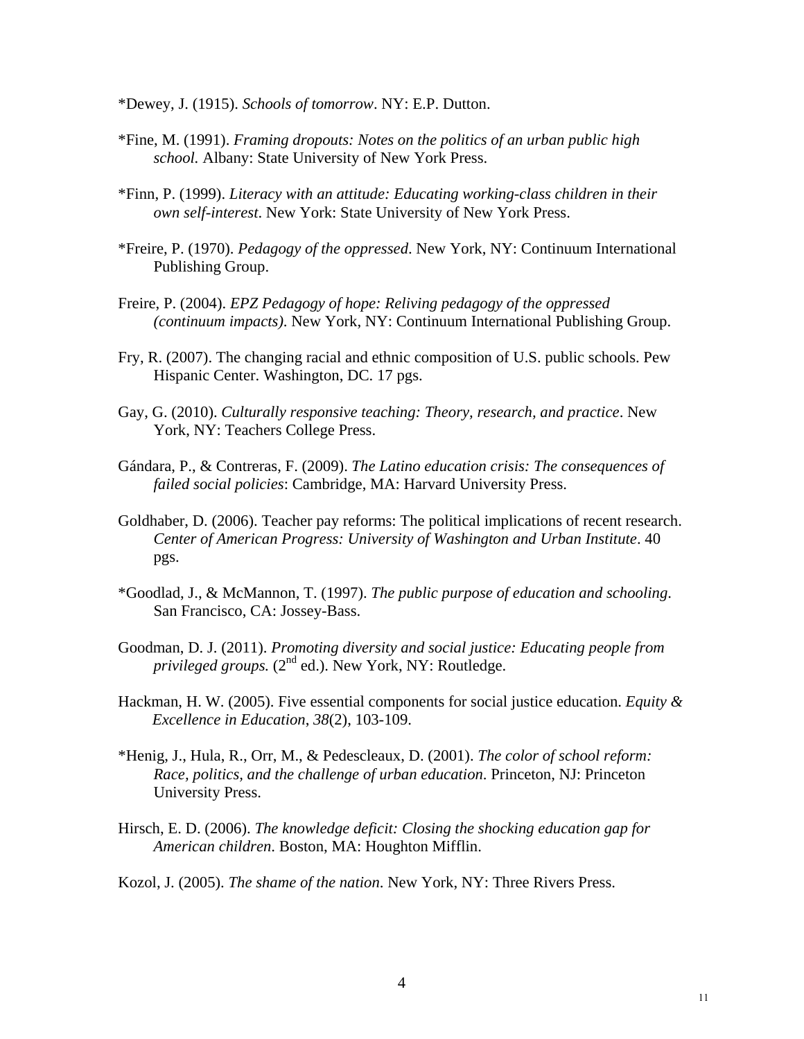- \*Dewey, J. (1915). *Schools of tomorrow*. NY: E.P. Dutton.
- \*Fine, M. (1991). *Framing dropouts: Notes on the politics of an urban public high school.* Albany: State University of New York Press.
- \*Finn, P. (1999). *Literacy with an attitude: Educating working-class children in their own self-interest*. New York: State University of New York Press.
- \*Freire, P. (1970). *Pedagogy of the oppressed*. New York, NY: Continuum International Publishing Group.
- Freire, P. (2004). *EPZ Pedagogy of hope: Reliving pedagogy of the oppressed (continuum impacts)*. New York, NY: Continuum International Publishing Group.
- Fry, R. (2007). The changing racial and ethnic composition of U.S. public schools. Pew Hispanic Center. Washington, DC. 17 pgs.
- Gay, G. (2010). *Culturally responsive teaching: Theory, research, and practice*. New York, NY: Teachers College Press.
- Gándara, P., & Contreras, F. (2009). *The Latino education crisis: The consequences of failed social policies*: Cambridge, MA: Harvard University Press.
- Goldhaber, D. (2006). Teacher pay reforms: The political implications of recent research. *Center of American Progress: University of Washington and Urban Institute*. 40 pgs.
- \*Goodlad, J., & McMannon, T. (1997). *The public purpose of education and schooling*. San Francisco, CA: Jossey-Bass.
- Goodman, D. J. (2011). *Promoting diversity and social justice: Educating people from*  privileged groups. (2<sup>nd</sup> ed.). New York, NY: Routledge.
- Hackman, H. W. (2005). Five essential components for social justice education. *Equity & Excellence in Education*, *38*(2), 103-109.
- \*Henig, J., Hula, R., Orr, M., & Pedescleaux, D. (2001). *The color of school reform: Race, politics, and the challenge of urban education*. Princeton, NJ: Princeton University Press.
- Hirsch, E. D. (2006). *The knowledge deficit: Closing the shocking education gap for American children*. Boston, MA: Houghton Mifflin.
- Kozol, J. (2005). *The shame of the nation*. New York, NY: Three Rivers Press.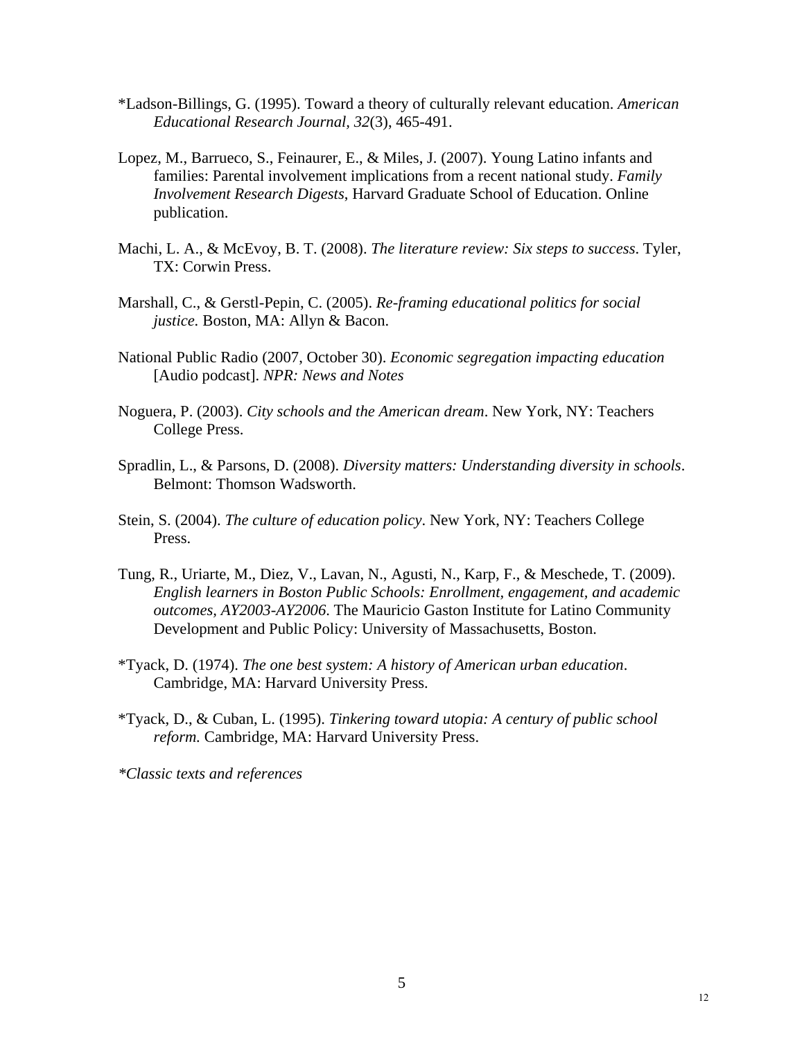- \*Ladson-Billings, G. (1995). Toward a theory of culturally relevant education. *American Educational Research Journal, 32*(3), 465-491.
- Lopez, M., Barrueco, S., Feinaurer, E., & Miles, J. (2007). Young Latino infants and families: Parental involvement implications from a recent national study. *Family Involvement Research Digests*, Harvard Graduate School of Education. Online publication.
- Machi, L. A., & McEvoy, B. T. (2008). *The literature review: Six steps to success*. Tyler, TX: Corwin Press.
- Marshall, C., & Gerstl-Pepin, C. (2005). *Re-framing educational politics for social justice.* Boston, MA: Allyn & Bacon.
- National Public Radio (2007, October 30). *Economic segregation impacting education* [Audio podcast]. *NPR: News and Notes*
- Noguera, P. (2003). *City schools and the American dream*. New York, NY: Teachers College Press.
- Spradlin, L., & Parsons, D. (2008). *Diversity matters: Understanding diversity in schools*. Belmont: Thomson Wadsworth.
- Stein, S. (2004). *The culture of education policy*. New York, NY: Teachers College Press.
- Tung, R., Uriarte, M., Diez, V., Lavan, N., Agusti, N., Karp, F., & Meschede, T. (2009). *English learners in Boston Public Schools: Enrollment, engagement, and academic outcomes, AY2003-AY2006*. The Mauricio Gaston Institute for Latino Community Development and Public Policy: University of Massachusetts, Boston.
- \*Tyack, D. (1974). *The one best system: A history of American urban education*. Cambridge, MA: Harvard University Press.
- \*Tyack, D., & Cuban, L. (1995). *Tinkering toward utopia: A century of public school reform.* Cambridge, MA: Harvard University Press.

*\*Classic texts and references*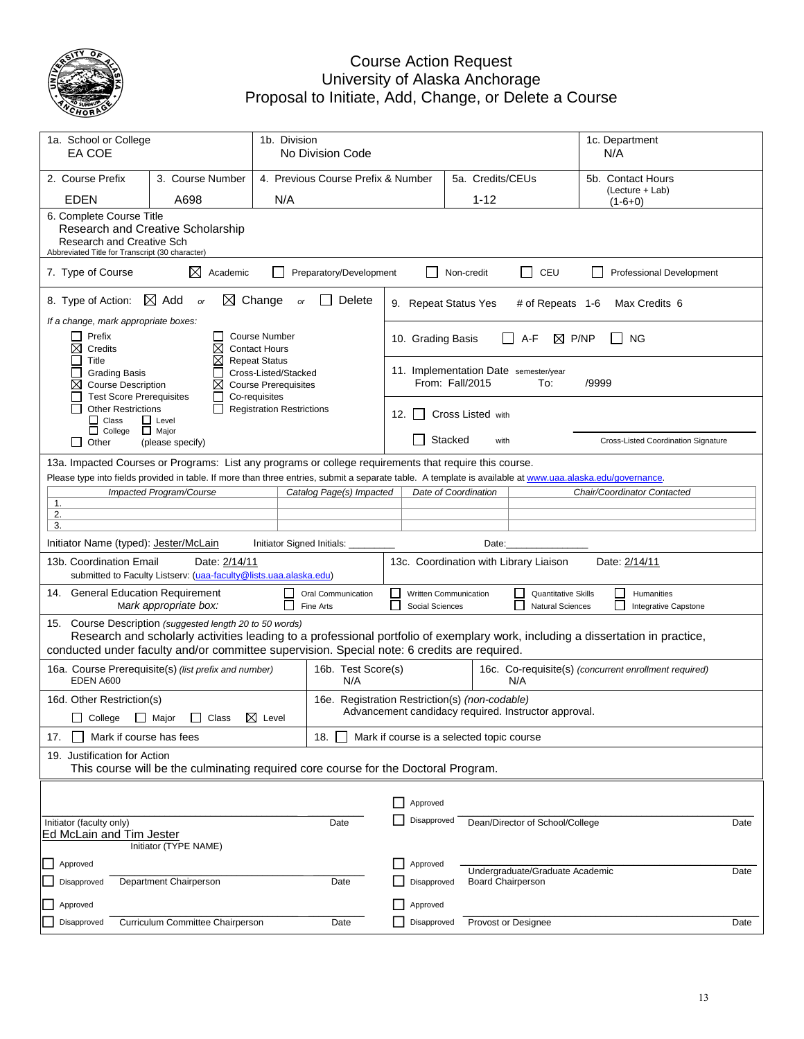

## Course Action Request University of Alaska Anchorage Proposal to Initiate, Add, Change, or Delete a Course

| 1b. Division<br>1a. School or College<br>EA COE<br>No Division Code                                                                                  |                                                                                                                                                                                      |                                                                                              |                                                |                                                         |                                           |                  |                   |                                                       | 1c. Department<br>N/A                                                                                                          |      |
|------------------------------------------------------------------------------------------------------------------------------------------------------|--------------------------------------------------------------------------------------------------------------------------------------------------------------------------------------|----------------------------------------------------------------------------------------------|------------------------------------------------|---------------------------------------------------------|-------------------------------------------|------------------|-------------------|-------------------------------------------------------|--------------------------------------------------------------------------------------------------------------------------------|------|
| 2. Course Prefix                                                                                                                                     | 3. Course Number                                                                                                                                                                     |                                                                                              | 4. Previous Course Prefix & Number             |                                                         |                                           | 5a. Credits/CEUs |                   |                                                       | 5b. Contact Hours                                                                                                              |      |
| <b>EDEN</b>                                                                                                                                          | A698                                                                                                                                                                                 | N/A                                                                                          |                                                |                                                         |                                           |                  | $1 - 12$          |                                                       | (Lecture + Lab)<br>$(1-6+0)$                                                                                                   |      |
| 6. Complete Course Title<br>Research and Creative Scholarship<br><b>Research and Creative Sch</b><br>Abbreviated Title for Transcript (30 character) |                                                                                                                                                                                      |                                                                                              |                                                |                                                         |                                           |                  |                   |                                                       |                                                                                                                                |      |
| 7. Type of Course                                                                                                                                    | ⊠<br>Academic                                                                                                                                                                        |                                                                                              | Preparatory/Development                        |                                                         |                                           |                  | Non-credit        | $\Box$<br>CEU                                         | <b>Professional Development</b>                                                                                                |      |
| 8. Type of Action:                                                                                                                                   | $\boxtimes$ Add<br>$\bowtie$<br>or                                                                                                                                                   | Change<br>or                                                                                 | Delete                                         |                                                         | 9. Repeat Status Yes                      |                  |                   | # of Repeats 1-6                                      | Max Credits 6                                                                                                                  |      |
| If a change, mark appropriate boxes:<br>Prefix<br>⊠<br>Credits                                                                                       | ⊠                                                                                                                                                                                    | <b>Course Number</b><br><b>Contact Hours</b>                                                 |                                                |                                                         | 10. Grading Basis                         |                  |                   | A-F<br>⊠                                              | P/NP<br><b>NG</b>                                                                                                              |      |
| П<br>Title<br>$\overline{\phantom{a}}$<br><b>Grading Basis</b><br>⊠<br><b>Course Description</b><br><b>Test Score Prerequisites</b>                  | ⊠<br>⊠<br>$\mathsf{L}$                                                                                                                                                               | <b>Repeat Status</b><br>Cross-Listed/Stacked<br><b>Course Prerequisites</b><br>Co-requisites |                                                |                                                         | From: Fall/2015                           |                  |                   | 11. Implementation Date semester/year<br>To:          | /9999                                                                                                                          |      |
| <b>Other Restrictions</b><br>$\Box$ Class<br>$\Box$ College                                                                                          | $\Box$ Level<br>$\Box$ Major                                                                                                                                                         | <b>Registration Restrictions</b>                                                             |                                                | 12.                                                     |                                           |                  | Cross Listed with |                                                       |                                                                                                                                |      |
| Other<br>$\Box$                                                                                                                                      | (please specify)                                                                                                                                                                     |                                                                                              |                                                |                                                         |                                           | Stacked          | with              |                                                       | Cross-Listed Coordination Signature                                                                                            |      |
|                                                                                                                                                      | 13a. Impacted Courses or Programs: List any programs or college requirements that require this course.                                                                               |                                                                                              |                                                |                                                         |                                           |                  |                   |                                                       |                                                                                                                                |      |
|                                                                                                                                                      | Please type into fields provided in table. If more than three entries, submit a separate table. A template is available at www.uaa.alaska.edu/governance.<br>Impacted Program/Course |                                                                                              | Catalog Page(s) Impacted                       |                                                         | Date of Coordination                      |                  |                   |                                                       | Chair/Coordinator Contacted                                                                                                    |      |
| 1.                                                                                                                                                   |                                                                                                                                                                                      |                                                                                              |                                                |                                                         |                                           |                  |                   |                                                       |                                                                                                                                |      |
| 2.<br>3.                                                                                                                                             |                                                                                                                                                                                      |                                                                                              |                                                |                                                         |                                           |                  |                   |                                                       |                                                                                                                                |      |
| Initiator Name (typed): Jester/McLain                                                                                                                |                                                                                                                                                                                      | Initiator Signed Initials:                                                                   |                                                |                                                         |                                           |                  | Date:             |                                                       |                                                                                                                                |      |
| 13b. Coordination Email                                                                                                                              | Date: 2/14/11<br>submitted to Faculty Listserv: (uaa-faculty@lists.uaa.alaska.edu)                                                                                                   |                                                                                              |                                                | 13c. Coordination with Library Liaison<br>Date: 2/14/11 |                                           |                  |                   |                                                       |                                                                                                                                |      |
| 14. General Education Requirement                                                                                                                    | Mark appropriate box:                                                                                                                                                                | $\Box$                                                                                       | Oral Communication<br>Fine Arts                | □<br>П                                                  | Written Communication<br>Social Sciences  |                  |                   | <b>Quantitative Skills</b><br><b>Natural Sciences</b> | $\Box$<br>Humanities<br>П<br>Integrative Capstone                                                                              |      |
| 15.                                                                                                                                                  | Course Description (suggested length 20 to 50 words)<br>conducted under faculty and/or committee supervision. Special note: 6 credits are required.                                  |                                                                                              |                                                |                                                         |                                           |                  |                   |                                                       | Research and scholarly activities leading to a professional portfolio of exemplary work, including a dissertation in practice, |      |
| EDEN A600                                                                                                                                            | 16a. Course Prerequisite(s) (list prefix and number)                                                                                                                                 |                                                                                              | 16b. Test Score(s)<br>N/A                      |                                                         |                                           |                  |                   | N/A                                                   | 16c. Co-requisite(s) (concurrent enrollment required)                                                                          |      |
| 16d. Other Restriction(s)                                                                                                                            |                                                                                                                                                                                      |                                                                                              | 16e. Registration Restriction(s) (non-codable) |                                                         |                                           |                  |                   |                                                       |                                                                                                                                |      |
|                                                                                                                                                      | □ College □ Major □ Class 区 Level                                                                                                                                                    |                                                                                              |                                                |                                                         |                                           |                  |                   | Advancement candidacy required. Instructor approval.  |                                                                                                                                |      |
| Mark if course has fees<br>17.                                                                                                                       |                                                                                                                                                                                      |                                                                                              | 18.                                            |                                                         | Mark if course is a selected topic course |                  |                   |                                                       |                                                                                                                                |      |
| 19. Justification for Action                                                                                                                         | This course will be the culminating required core course for the Doctoral Program.                                                                                                   |                                                                                              |                                                |                                                         |                                           |                  |                   |                                                       |                                                                                                                                |      |
|                                                                                                                                                      |                                                                                                                                                                                      |                                                                                              |                                                |                                                         |                                           |                  |                   |                                                       |                                                                                                                                |      |
|                                                                                                                                                      |                                                                                                                                                                                      |                                                                                              |                                                |                                                         | Approved                                  |                  |                   |                                                       |                                                                                                                                |      |
| Initiator (faculty only)<br>Date<br><b>Ed McLain and Tim Jester</b><br>Initiator (TYPE NAME)                                                         |                                                                                                                                                                                      |                                                                                              |                                                |                                                         | Disapproved                               |                  |                   | Dean/Director of School/College                       |                                                                                                                                | Date |
| Approved                                                                                                                                             |                                                                                                                                                                                      |                                                                                              |                                                |                                                         | Approved                                  |                  |                   |                                                       |                                                                                                                                |      |
| Undergraduate/Graduate Academic<br>Disapproved<br>Department Chairperson<br>Date<br>Disapproved<br><b>Board Chairperson</b>                          |                                                                                                                                                                                      |                                                                                              |                                                |                                                         |                                           |                  |                   | Date                                                  |                                                                                                                                |      |
| Approved                                                                                                                                             |                                                                                                                                                                                      |                                                                                              |                                                |                                                         | Approved                                  |                  |                   |                                                       |                                                                                                                                |      |
| Disapproved                                                                                                                                          | Curriculum Committee Chairperson                                                                                                                                                     |                                                                                              | Date                                           |                                                         | Disapproved                               |                  |                   | Provost or Designee                                   |                                                                                                                                | Date |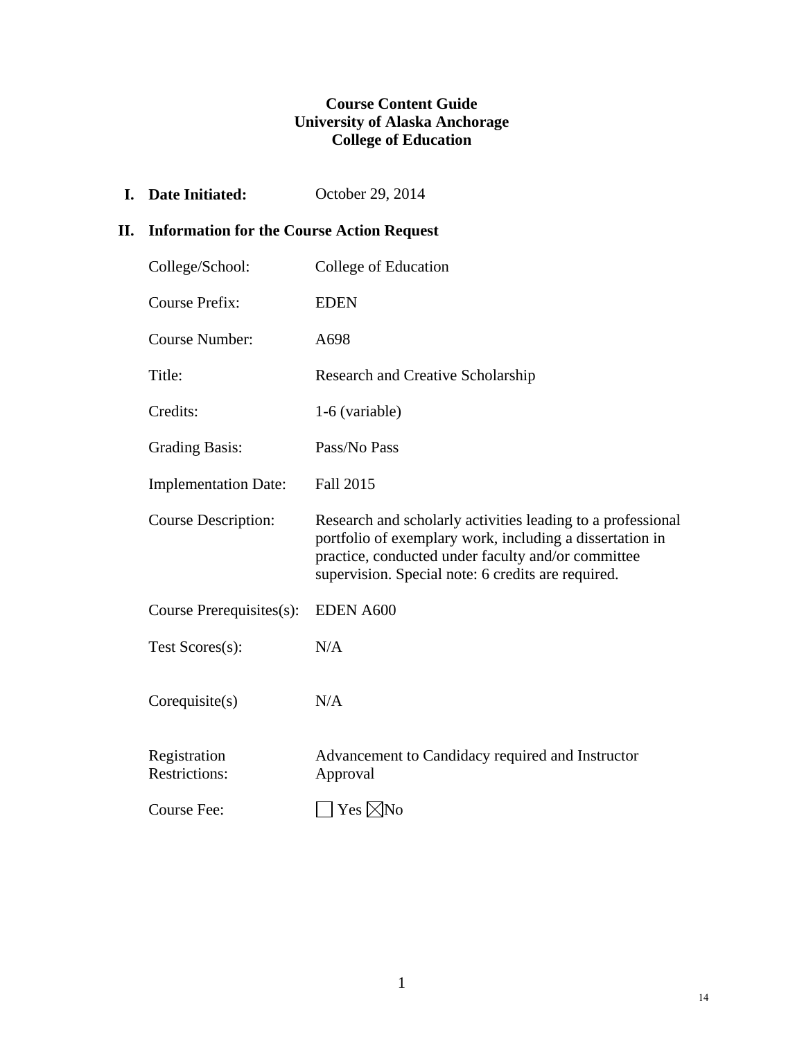# **Course Content Guide University of Alaska Anchorage College of Education**

**I.** Date Initiated: October 29, 2014

# **II. Information for the Course Action Request**

| College/School:                      | College of Education                                                                                                                                                                                                                |
|--------------------------------------|-------------------------------------------------------------------------------------------------------------------------------------------------------------------------------------------------------------------------------------|
| <b>Course Prefix:</b>                | <b>EDEN</b>                                                                                                                                                                                                                         |
| <b>Course Number:</b>                | A698                                                                                                                                                                                                                                |
| Title:                               | Research and Creative Scholarship                                                                                                                                                                                                   |
| Credits:                             | 1-6 (variable)                                                                                                                                                                                                                      |
| <b>Grading Basis:</b>                | Pass/No Pass                                                                                                                                                                                                                        |
| <b>Implementation Date:</b>          | <b>Fall 2015</b>                                                                                                                                                                                                                    |
| <b>Course Description:</b>           | Research and scholarly activities leading to a professional<br>portfolio of exemplary work, including a dissertation in<br>practice, conducted under faculty and/or committee<br>supervision. Special note: 6 credits are required. |
| Course Prerequisites(s):             | <b>EDEN A600</b>                                                                                                                                                                                                                    |
| Test Scores(s):                      | N/A                                                                                                                                                                                                                                 |
| Corequisite(s)                       | N/A                                                                                                                                                                                                                                 |
| Registration<br><b>Restrictions:</b> | Advancement to Candidacy required and Instructor<br>Approval                                                                                                                                                                        |
| Course Fee:                          | $Yes \times No$                                                                                                                                                                                                                     |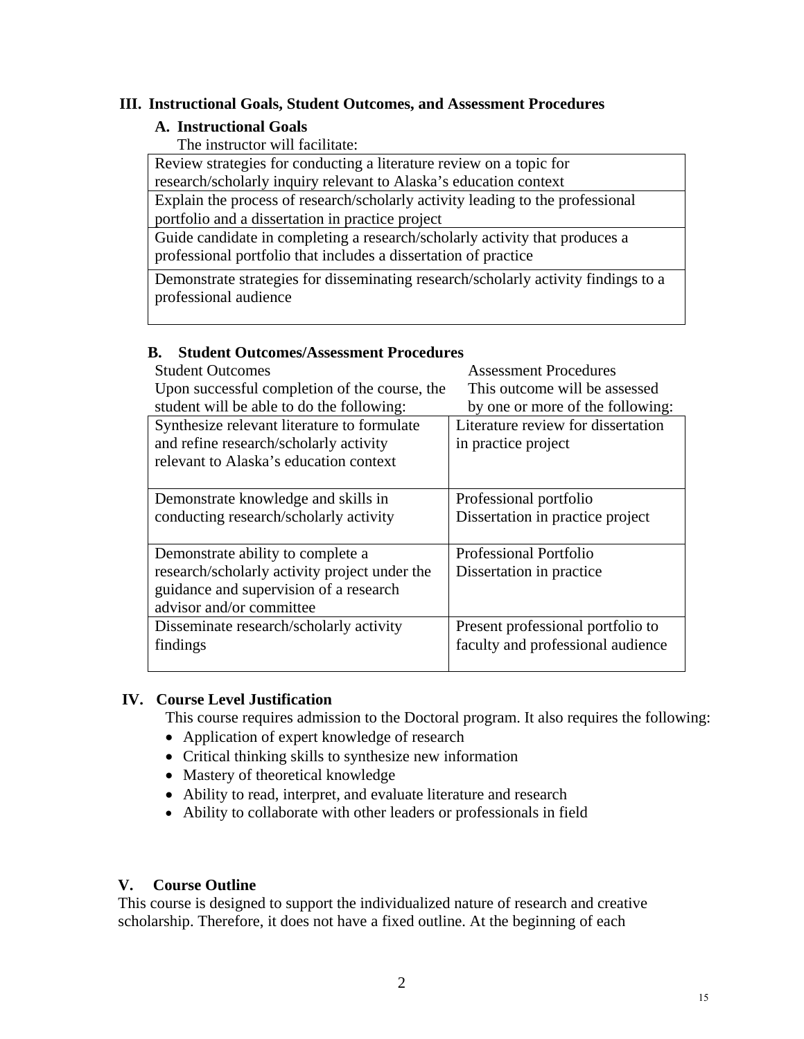### **III. Instructional Goals, Student Outcomes, and Assessment Procedures**

#### **A. Instructional Goals**

The instructor will facilitate:

 Review strategies for conducting a literature review on a topic for research/scholarly inquiry relevant to Alaska's education context

Explain the process of research/scholarly activity leading to the professional

portfolio and a dissertation in practice project

 Guide candidate in completing a research/scholarly activity that produces a professional portfolio that includes a dissertation of practice

 Demonstrate strategies for disseminating research/scholarly activity findings to a professional audience

#### **B. Student Outcomes/Assessment Procedures**

| <b>Student Outcomes</b>                       | <b>Assessment Procedures</b>       |
|-----------------------------------------------|------------------------------------|
| Upon successful completion of the course, the | This outcome will be assessed      |
| student will be able to do the following:     | by one or more of the following:   |
| Synthesize relevant literature to formulate   | Literature review for dissertation |
| and refine research/scholarly activity        | in practice project                |
| relevant to Alaska's education context        |                                    |
| Demonstrate knowledge and skills in           | Professional portfolio             |
| conducting research/scholarly activity        | Dissertation in practice project   |
| Demonstrate ability to complete a             | Professional Portfolio             |
| research/scholarly activity project under the | Dissertation in practice           |
| guidance and supervision of a research        |                                    |
| advisor and/or committee                      |                                    |
| Disseminate research/scholarly activity       | Present professional portfolio to  |
| findings                                      | faculty and professional audience  |
|                                               |                                    |

# **IV. Course Level Justification**

This course requires admission to the Doctoral program. It also requires the following:

- Application of expert knowledge of research
- Critical thinking skills to synthesize new information
- Mastery of theoretical knowledge
- Ability to read, interpret, and evaluate literature and research
- Ability to collaborate with other leaders or professionals in field

# **V. Course Outline**

This course is designed to support the individualized nature of research and creative scholarship. Therefore, it does not have a fixed outline. At the beginning of each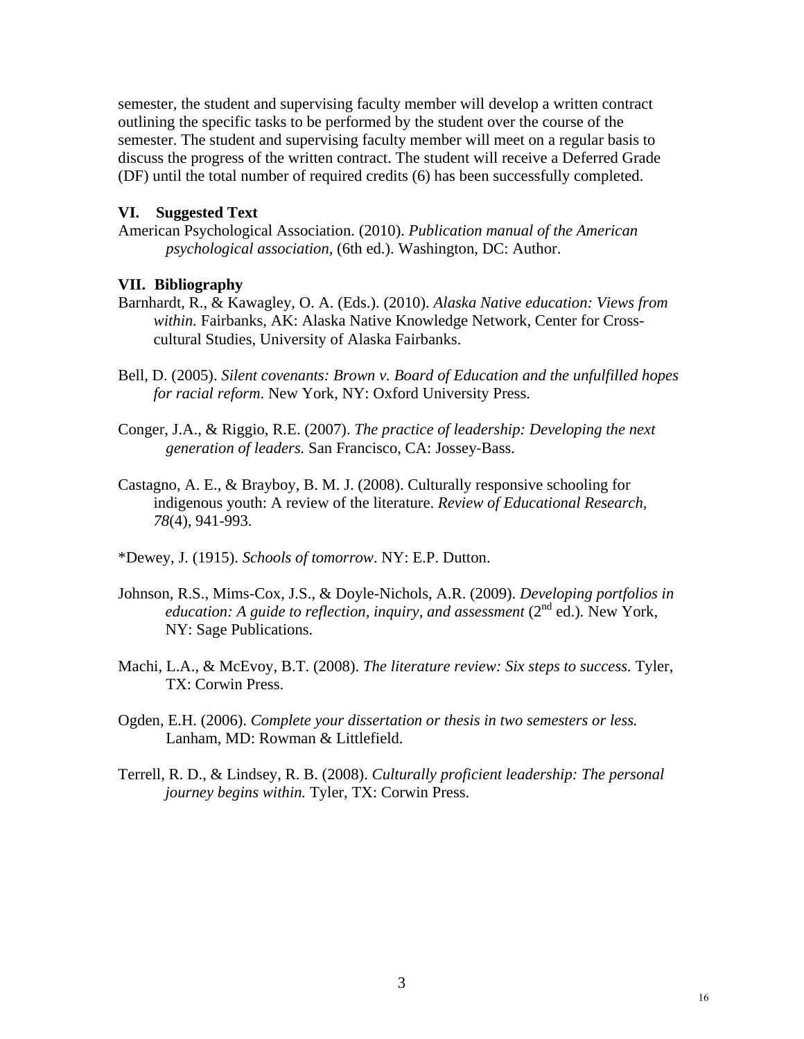semester, the student and supervising faculty member will develop a written contract outlining the specific tasks to be performed by the student over the course of the semester. The student and supervising faculty member will meet on a regular basis to discuss the progress of the written contract. The student will receive a Deferred Grade (DF) until the total number of required credits (6) has been successfully completed.

#### **VI. Suggested Text**

American Psychological Association. (2010). *Publication manual of the American psychological association,* (6th ed.). Washington, DC: Author.

#### **VII. Bibliography**

- Barnhardt, R., & Kawagley, O. A. (Eds.). (2010). *Alaska Native education: Views from within.* Fairbanks, AK: Alaska Native Knowledge Network, Center for Crosscultural Studies, University of Alaska Fairbanks.
- Bell, D. (2005). *Silent covenants: Brown v. Board of Education and the unfulfilled hopes for racial reform*. New York, NY: Oxford University Press.
- Conger, J.A., & Riggio, R.E. (2007). *The practice of leadership: Developing the next generation of leaders.* San Francisco, CA: Jossey‐Bass.
- Castagno, A. E., & Brayboy, B. M. J. (2008). Culturally responsive schooling for indigenous youth: A review of the literature. *Review of Educational Research, 78*(4), 941-993.
- \*Dewey, J. (1915). *Schools of tomorrow*. NY: E.P. Dutton.
- Johnson, R.S., Mims-Cox, J.S., & Doyle-Nichols, A.R. (2009). *Developing portfolios in education: A guide to reflection, inquiry, and assessment*  $(2^{nd}$  ed.). New York, NY: Sage Publications.
- Machi, L.A., & McEvoy, B.T. (2008). *The literature review: Six steps to success.* Tyler, TX: Corwin Press.
- Ogden, E.H. (2006). *Complete your dissertation or thesis in two semesters or less.* Lanham, MD: Rowman & Littlefield.
- Terrell, R. D., & Lindsey, R. B. (2008). *Culturally proficient leadership: The personal journey begins within.* Tyler, TX: Corwin Press.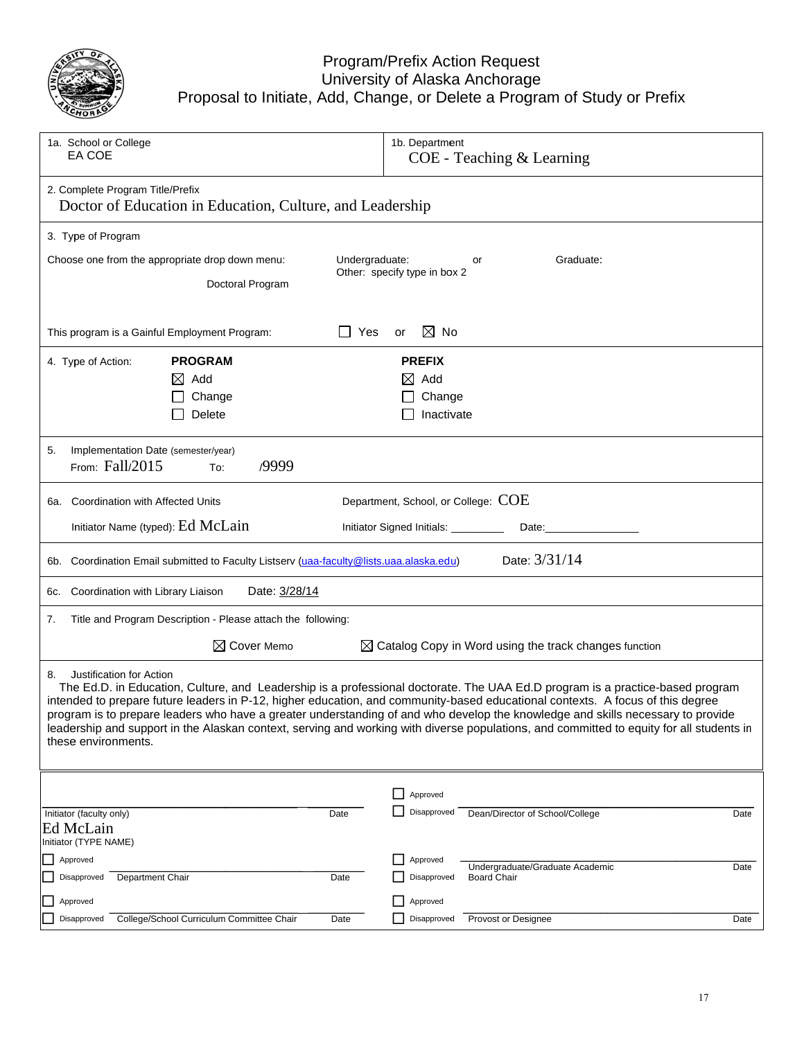

#### Proposal to Initiate Program Univers e, Add, Cha m/Prefix Ac ity of Alask ange, or De ction Reque ka Anchorag elete a Prog est ge gram of Study or Prefix

| 1a. School or College<br>EA COE                                                                                                                                                                                                                                                                                                                                                                                                                                                                                                                                                                         | 1b. Department<br>COE - Teaching & Learning                                  |  |
|---------------------------------------------------------------------------------------------------------------------------------------------------------------------------------------------------------------------------------------------------------------------------------------------------------------------------------------------------------------------------------------------------------------------------------------------------------------------------------------------------------------------------------------------------------------------------------------------------------|------------------------------------------------------------------------------|--|
| 2. Complete Program Title/Prefix<br>Doctor of Education in Education, Culture, and Leadership                                                                                                                                                                                                                                                                                                                                                                                                                                                                                                           |                                                                              |  |
| 3. Type of Program                                                                                                                                                                                                                                                                                                                                                                                                                                                                                                                                                                                      |                                                                              |  |
| Undergraduate:<br>Choose one from the appropriate drop down menu:<br>Doctoral Program                                                                                                                                                                                                                                                                                                                                                                                                                                                                                                                   | Graduate:<br>or<br>Other: specify type in box 2                              |  |
| Yes<br>This program is a Gainful Employment Program:<br>$\mathbf{1}$                                                                                                                                                                                                                                                                                                                                                                                                                                                                                                                                    | $\boxtimes$ No<br>or                                                         |  |
| <b>PROGRAM</b><br>4. Type of Action:<br>$\boxtimes$ Add<br>Change<br>Delete                                                                                                                                                                                                                                                                                                                                                                                                                                                                                                                             | <b>PREFIX</b><br>$\boxtimes$ Add<br>Change<br>Inactivate                     |  |
| Implementation Date (semester/year)<br>5.<br>From: Fall/2015<br>/9999<br>To:                                                                                                                                                                                                                                                                                                                                                                                                                                                                                                                            |                                                                              |  |
| 6a. Coordination with Affected Units                                                                                                                                                                                                                                                                                                                                                                                                                                                                                                                                                                    | Department, School, or College: COE                                          |  |
| Initiator Name (typed): Ed McLain                                                                                                                                                                                                                                                                                                                                                                                                                                                                                                                                                                       | Initiator Signed Initials: ________                                          |  |
| Date: 3/31/14<br>6b. Coordination Email submitted to Faculty Listserv (uaa-faculty@lists.uaa.alaska.edu)                                                                                                                                                                                                                                                                                                                                                                                                                                                                                                |                                                                              |  |
| Coordination with Library Liaison<br>Date: 3/28/14<br>6c.                                                                                                                                                                                                                                                                                                                                                                                                                                                                                                                                               |                                                                              |  |
| 7.<br>Title and Program Description - Please attach the following:                                                                                                                                                                                                                                                                                                                                                                                                                                                                                                                                      |                                                                              |  |
| $\boxtimes$ Cover Memo<br>$\boxtimes$ Catalog Copy in Word using the track changes function                                                                                                                                                                                                                                                                                                                                                                                                                                                                                                             |                                                                              |  |
| Justification for Action<br>8.<br>The Ed.D. in Education, Culture, and Leadership is a professional doctorate. The UAA Ed.D program is a practice-based program<br>intended to prepare future leaders in P-12, higher education, and community-based educational contexts. A focus of this degree<br>program is to prepare leaders who have a greater understanding of and who develop the knowledge and skills necessary to provide<br>leadership and support in the Alaskan context, serving and working with diverse populations, and committed to equity for all students in<br>these environments. |                                                                              |  |
|                                                                                                                                                                                                                                                                                                                                                                                                                                                                                                                                                                                                         | Approved                                                                     |  |
| Initiator (faculty only)<br>Date<br>Ed McLain                                                                                                                                                                                                                                                                                                                                                                                                                                                                                                                                                           | Disapproved<br>Dean/Director of School/College<br>Date                       |  |
| Initiator (TYPE NAME)<br>Approved                                                                                                                                                                                                                                                                                                                                                                                                                                                                                                                                                                       | Approved                                                                     |  |
| Disapproved<br>Department Chair<br>Date                                                                                                                                                                                                                                                                                                                                                                                                                                                                                                                                                                 | Undergraduate/Graduate Academic<br>Date<br>Disapproved<br><b>Board Chair</b> |  |
| Approved                                                                                                                                                                                                                                                                                                                                                                                                                                                                                                                                                                                                | Approved                                                                     |  |
| College/School Curriculum Committee Chair<br>Disapproved<br>Date                                                                                                                                                                                                                                                                                                                                                                                                                                                                                                                                        | Provost or Designee<br>Disapproved<br>Date                                   |  |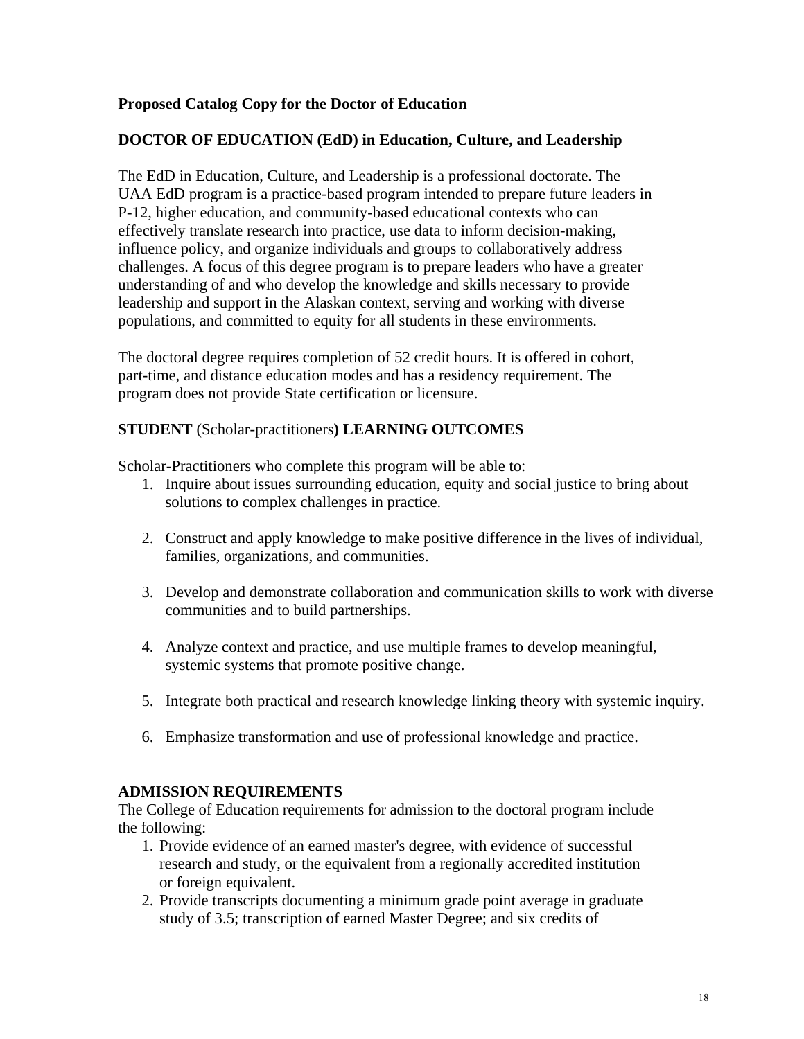# **Proposed Catalog Copy for the Doctor of Education**

# **DOCTOR OF EDUCATION (EdD) in Education, Culture, and Leadership**

The EdD in Education, Culture, and Leadership is a professional doctorate. The UAA EdD program is a practice-based program intended to prepare future leaders in P-12, higher education, and community-based educational contexts who can effectively translate research into practice, use data to inform decision-making, influence policy, and organize individuals and groups to collaboratively address challenges. A focus of this degree program is to prepare leaders who have a greater understanding of and who develop the knowledge and skills necessary to provide leadership and support in the Alaskan context, serving and working with diverse populations, and committed to equity for all students in these environments.

The doctoral degree requires completion of 52 credit hours. It is offered in cohort, part-time, and distance education modes and has a residency requirement. The program does not provide State certification or licensure.

# **STUDENT** (Scholar-practitioners**) LEARNING OUTCOMES**

Scholar-Practitioners who complete this program will be able to:

- 1. Inquire about issues surrounding education, equity and social justice to bring about solutions to complex challenges in practice.
- 2. Construct and apply knowledge to make positive difference in the lives of individual, families, organizations, and communities.
- 3. Develop and demonstrate collaboration and communication skills to work with diverse communities and to build partnerships.
- 4. Analyze context and practice, and use multiple frames to develop meaningful, systemic systems that promote positive change.
- 5. Integrate both practical and research knowledge linking theory with systemic inquiry.
- 6. Emphasize transformation and use of professional knowledge and practice.

#### **ADMISSION REQUIREMENTS**

The College of Education requirements for admission to the doctoral program include the following:

- 1. Provide evidence of an earned master's degree, with evidence of successful research and study, or the equivalent from a regionally accredited institution or foreign equivalent.
- 2. Provide transcripts documenting a minimum grade point average in graduate study of 3.5; transcription of earned Master Degree; and six credits of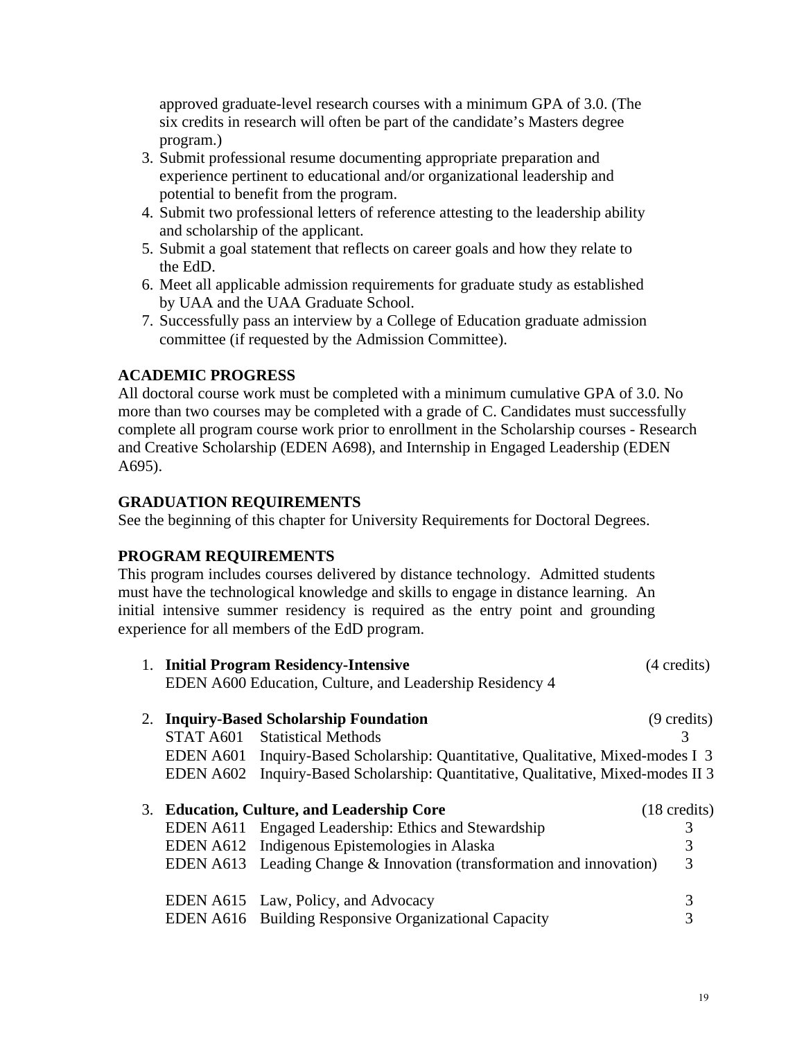approved graduate-level research courses with a minimum GPA of 3.0. (The six credits in research will often be part of the candidate's Masters degree program.)

- 3. Submit professional resume documenting appropriate preparation and experience pertinent to educational and/or organizational leadership and potential to benefit from the program.
- 4. Submit two professional letters of reference attesting to the leadership ability and scholarship of the applicant.
- 5. Submit a goal statement that reflects on career goals and how they relate to the EdD.
- 6. Meet all applicable admission requirements for graduate study as established by UAA and the UAA Graduate School.
- 7. Successfully pass an interview by a College of Education graduate admission committee (if requested by the Admission Committee).

# **ACADEMIC PROGRESS**

All doctoral course work must be completed with a minimum cumulative GPA of 3.0. No more than two courses may be completed with a grade of C. Candidates must successfully complete all program course work prior to enrollment in the Scholarship courses - Research and Creative Scholarship (EDEN A698), and Internship in Engaged Leadership (EDEN A695).

# **GRADUATION REQUIREMENTS**

See the beginning of this chapter for University Requirements for Doctoral Degrees.

# **PROGRAM REQUIREMENTS**

This program includes courses delivered by distance technology. Admitted students must have the technological knowledge and skills to engage in distance learning. An initial intensive summer residency is required as the entry point and grounding experience for all members of the EdD program.

|  | (4 credits)                                                                                                                                                                                                                                                                                                                                                                                                                                                                                                                                                                                                                                                                                     |
|--|-------------------------------------------------------------------------------------------------------------------------------------------------------------------------------------------------------------------------------------------------------------------------------------------------------------------------------------------------------------------------------------------------------------------------------------------------------------------------------------------------------------------------------------------------------------------------------------------------------------------------------------------------------------------------------------------------|
|  | $(9 \text{ credits})$                                                                                                                                                                                                                                                                                                                                                                                                                                                                                                                                                                                                                                                                           |
|  | 3                                                                                                                                                                                                                                                                                                                                                                                                                                                                                                                                                                                                                                                                                               |
|  |                                                                                                                                                                                                                                                                                                                                                                                                                                                                                                                                                                                                                                                                                                 |
|  |                                                                                                                                                                                                                                                                                                                                                                                                                                                                                                                                                                                                                                                                                                 |
|  |                                                                                                                                                                                                                                                                                                                                                                                                                                                                                                                                                                                                                                                                                                 |
|  | $(18 \text{ credits})$                                                                                                                                                                                                                                                                                                                                                                                                                                                                                                                                                                                                                                                                          |
|  |                                                                                                                                                                                                                                                                                                                                                                                                                                                                                                                                                                                                                                                                                                 |
|  | 3                                                                                                                                                                                                                                                                                                                                                                                                                                                                                                                                                                                                                                                                                               |
|  | 3                                                                                                                                                                                                                                                                                                                                                                                                                                                                                                                                                                                                                                                                                               |
|  |                                                                                                                                                                                                                                                                                                                                                                                                                                                                                                                                                                                                                                                                                                 |
|  | 3                                                                                                                                                                                                                                                                                                                                                                                                                                                                                                                                                                                                                                                                                               |
|  |                                                                                                                                                                                                                                                                                                                                                                                                                                                                                                                                                                                                                                                                                                 |
|  | 1. Initial Program Residency-Intensive<br>EDEN A600 Education, Culture, and Leadership Residency 4<br>2. Inquiry-Based Scholarship Foundation<br>STAT A601 Statistical Methods<br>EDEN A601 Inquiry-Based Scholarship: Quantitative, Qualitative, Mixed-modes I 3<br>EDEN A602 Inquiry-Based Scholarship: Quantitative, Qualitative, Mixed-modes II 3<br>3. Education, Culture, and Leadership Core<br>EDEN A611 Engaged Leadership: Ethics and Stewardship<br>EDEN A612 Indigenous Epistemologies in Alaska<br>EDEN A613 Leading Change $\&$ Innovation (transformation and innovation)<br>EDEN A615 Law, Policy, and Advocacy<br><b>EDEN A616</b> Building Responsive Organizational Capacity |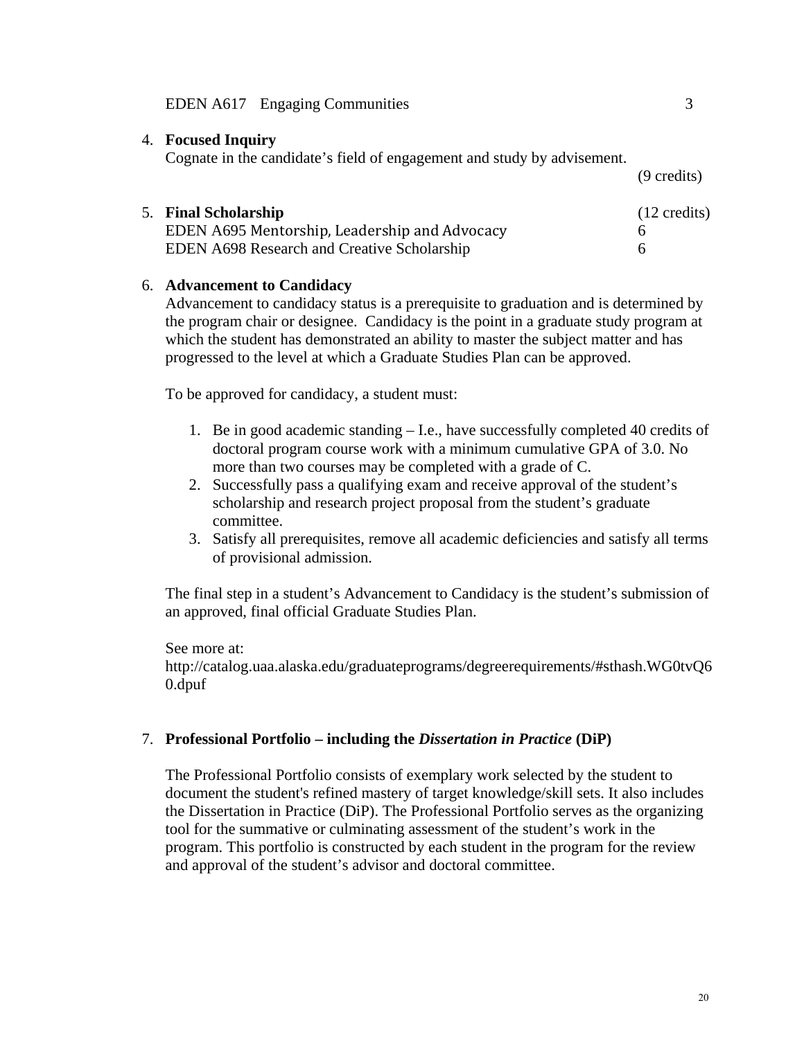#### EDEN A617 Engaging Communities 3

#### 4. **Focused Inquiry**

Cognate in the candidate's field of engagement and study by advisement.

5. **Final Scholarship** (12 credits) EDEN A695 Mentorship, Leadership and Advocacy 6 EDEN A698 Research and Creative Scholarship 6

#### 6. **Advancement to Candidacy**

Advancement to candidacy status is a prerequisite to graduation and is determined by the program chair or designee. Candidacy is the point in a graduate study program at which the student has demonstrated an ability to master the subject matter and has progressed to the level at which a Graduate Studies Plan can be approved.

To be approved for candidacy, a student must:

- 1. Be in good academic standing I.e., have successfully completed 40 credits of doctoral program course work with a minimum cumulative GPA of 3.0. No more than two courses may be completed with a grade of C.
- 2. Successfully pass a qualifying exam and receive approval of the student's scholarship and research project proposal from the student's graduate committee.
- 3. Satisfy all prerequisites, remove all academic deficiencies and satisfy all terms of provisional admission.

The final step in a student's Advancement to Candidacy is the student's submission of an approved, final official Graduate Studies Plan.

See more at:

http://catalog.uaa.alaska.edu/graduateprograms/degreerequirements/#sthash.WG0tvQ6 0.dpuf

#### 7. **Professional Portfolio – including the** *Dissertation in Practice* **(DiP)**

The Professional Portfolio consists of exemplary work selected by the student to document the student's refined mastery of target knowledge/skill sets. It also includes the Dissertation in Practice (DiP). The Professional Portfolio serves as the organizing tool for the summative or culminating assessment of the student's work in the program. This portfolio is constructed by each student in the program for the review and approval of the student's advisor and doctoral committee.

(9 credits)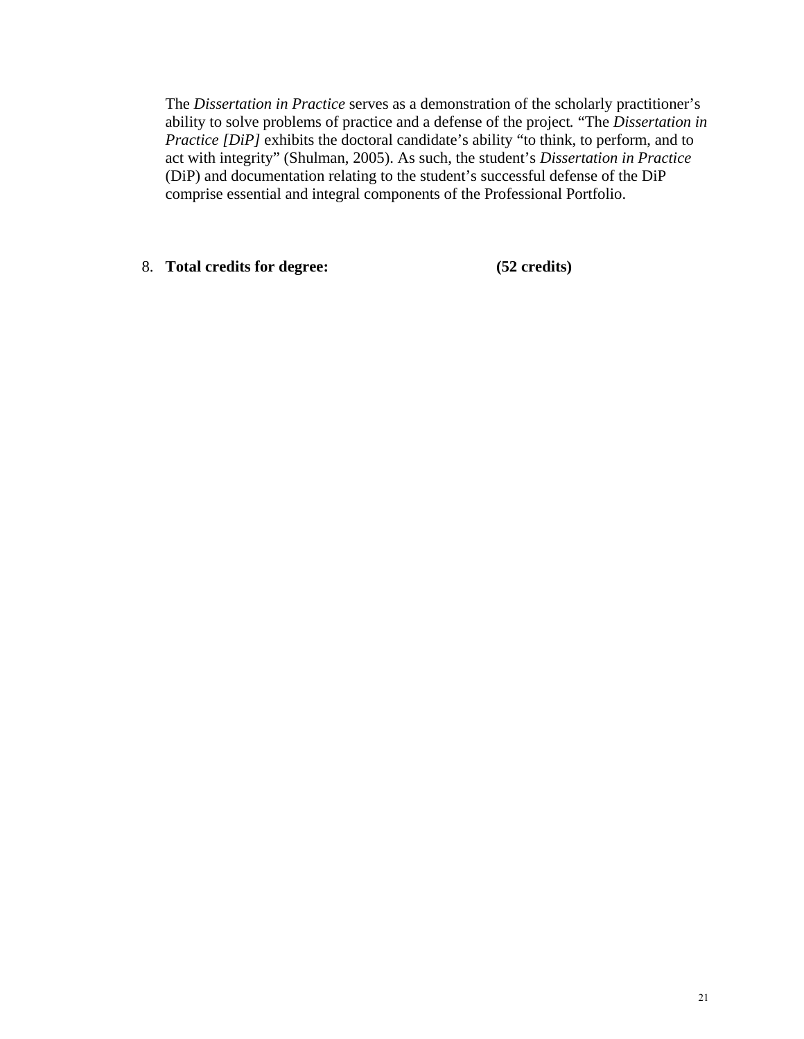The *Dissertation in Practice* serves as a demonstration of the scholarly practitioner's ability to solve problems of practice and a defense of the project*.* "The *Dissertation in Practice [DiP]* exhibits the doctoral candidate's ability "to think, to perform, and to act with integrity" (Shulman, 2005). As such, the student's *Dissertation in Practice* (DiP) and documentation relating to the student's successful defense of the DiP comprise essential and integral components of the Professional Portfolio.

8. **Total credits for degree: (52 credits)**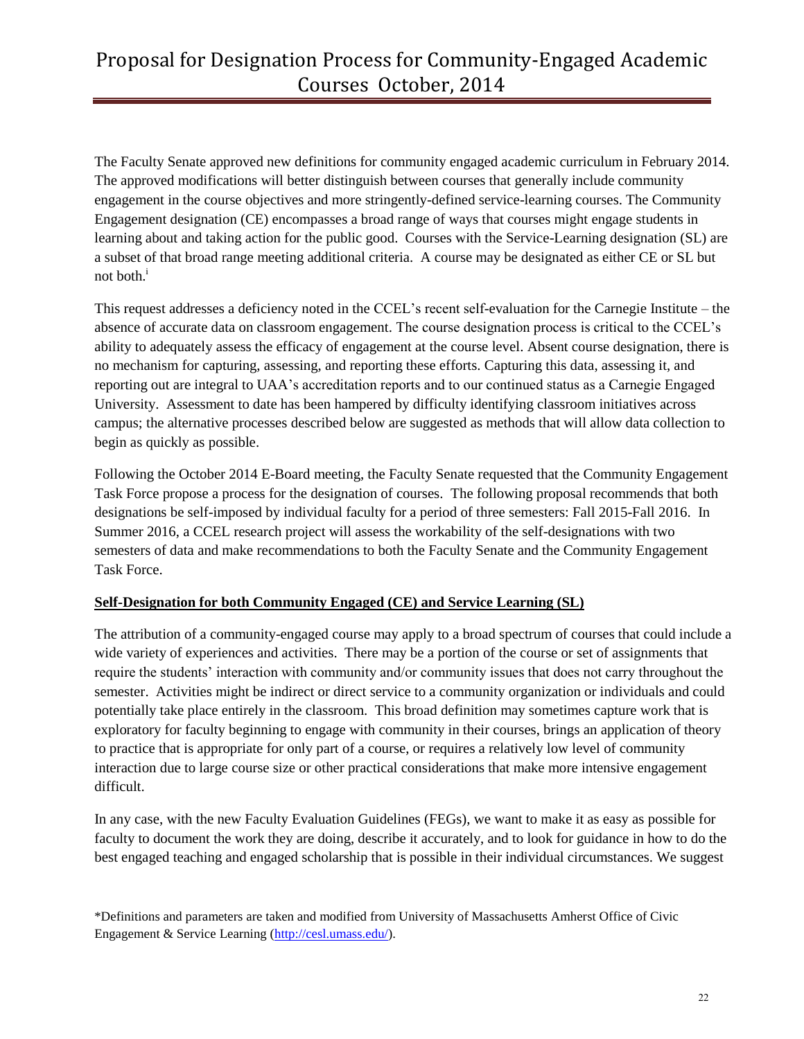# Proposal for Designation Process for Community-Engaged Academic Courses October, 2014

The Faculty Senate approved new definitions for community engaged academic curriculum in February 2014. The approved modifications will better distinguish between courses that generally include community engagement in the course objectives and more stringently-defined service-learning courses. The Community Engagement designation (CE) encompasses a broad range of ways that courses might engage students in learning about and taking action for the public good. Courses with the Service-Learning designation (SL) are a subset of that broad range meeting additional criteria. A course may be designated as either CE or SL but not both.<sup>i</sup>

This request addresses a deficiency noted in the CCEL's recent self-evaluation for the Carnegie Institute – the absence of accurate data on classroom engagement. The course designation process is critical to the CCEL's ability to adequately assess the efficacy of engagement at the course level. Absent course designation, there is no mechanism for capturing, assessing, and reporting these efforts. Capturing this data, assessing it, and reporting out are integral to UAA's accreditation reports and to our continued status as a Carnegie Engaged University. Assessment to date has been hampered by difficulty identifying classroom initiatives across campus; the alternative processes described below are suggested as methods that will allow data collection to begin as quickly as possible.

Following the October 2014 E-Board meeting, the Faculty Senate requested that the Community Engagement Task Force propose a process for the designation of courses. The following proposal recommends that both designations be self-imposed by individual faculty for a period of three semesters: Fall 2015-Fall 2016. In Summer 2016, a CCEL research project will assess the workability of the self-designations with two semesters of data and make recommendations to both the Faculty Senate and the Community Engagement Task Force.

# **Self-Designation for both Community Engaged (CE) and Service Learning (SL)**

The attribution of a community-engaged course may apply to a broad spectrum of courses that could include a wide variety of experiences and activities. There may be a portion of the course or set of assignments that require the students' interaction with community and/or community issues that does not carry throughout the semester. Activities might be indirect or direct service to a community organization or individuals and could potentially take place entirely in the classroom. This broad definition may sometimes capture work that is exploratory for faculty beginning to engage with community in their courses, brings an application of theory to practice that is appropriate for only part of a course, or requires a relatively low level of community interaction due to large course size or other practical considerations that make more intensive engagement difficult.

In any case, with the new Faculty Evaluation Guidelines (FEGs), we want to make it as easy as possible for faculty to document the work they are doing, describe it accurately, and to look for guidance in how to do the best engaged teaching and engaged scholarship that is possible in their individual circumstances. We suggest

<sup>\*</sup>Definitions and parameters are taken and modified from University of Massachusetts Amherst Office of Civic Engagement & Service Learning [\(http://cesl.umass.edu/\)](http://cesl.umass.edu/).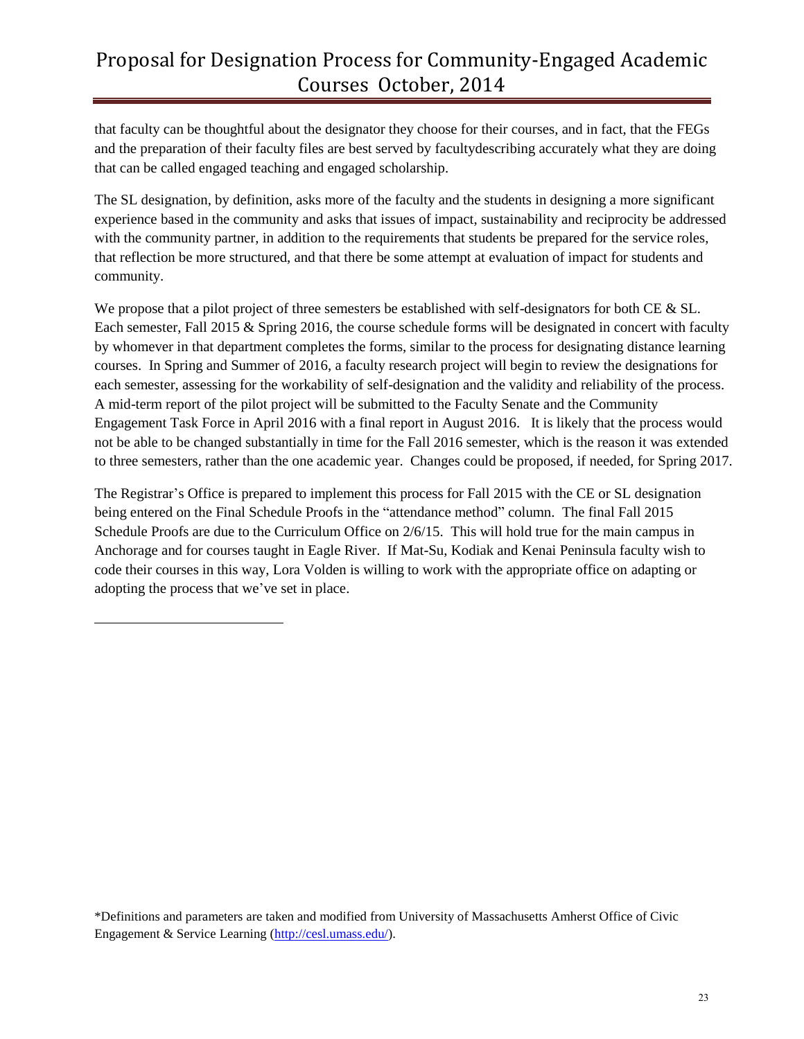# Proposal for Designation Process for Community-Engaged Academic Courses October, 2014

that faculty can be thoughtful about the designator they choose for their courses, and in fact, that the FEGs and the preparation of their faculty files are best served by facultydescribing accurately what they are doing that can be called engaged teaching and engaged scholarship.

The SL designation, by definition, asks more of the faculty and the students in designing a more significant experience based in the community and asks that issues of impact, sustainability and reciprocity be addressed with the community partner, in addition to the requirements that students be prepared for the service roles, that reflection be more structured, and that there be some attempt at evaluation of impact for students and community.

We propose that a pilot project of three semesters be established with self-designators for both CE & SL. Each semester, Fall 2015 & Spring 2016, the course schedule forms will be designated in concert with faculty by whomever in that department completes the forms, similar to the process for designating distance learning courses. In Spring and Summer of 2016, a faculty research project will begin to review the designations for each semester, assessing for the workability of self-designation and the validity and reliability of the process. A mid-term report of the pilot project will be submitted to the Faculty Senate and the Community Engagement Task Force in April 2016 with a final report in August 2016. It is likely that the process would not be able to be changed substantially in time for the Fall 2016 semester, which is the reason it was extended to three semesters, rather than the one academic year. Changes could be proposed, if needed, for Spring 2017.

The Registrar's Office is prepared to implement this process for Fall 2015 with the CE or SL designation being entered on the Final Schedule Proofs in the "attendance method" column. The final Fall 2015 Schedule Proofs are due to the Curriculum Office on 2/6/15. This will hold true for the main campus in Anchorage and for courses taught in Eagle River. If Mat-Su, Kodiak and Kenai Peninsula faculty wish to code their courses in this way, Lora Volden is willing to work with the appropriate office on adapting or adopting the process that we've set in place.

 $\overline{\phantom{a}}$ 

\*Definitions and parameters are taken and modified from University of Massachusetts Amherst Office of Civic Engagement & Service Learning [\(http://cesl.umass.edu/\)](http://cesl.umass.edu/).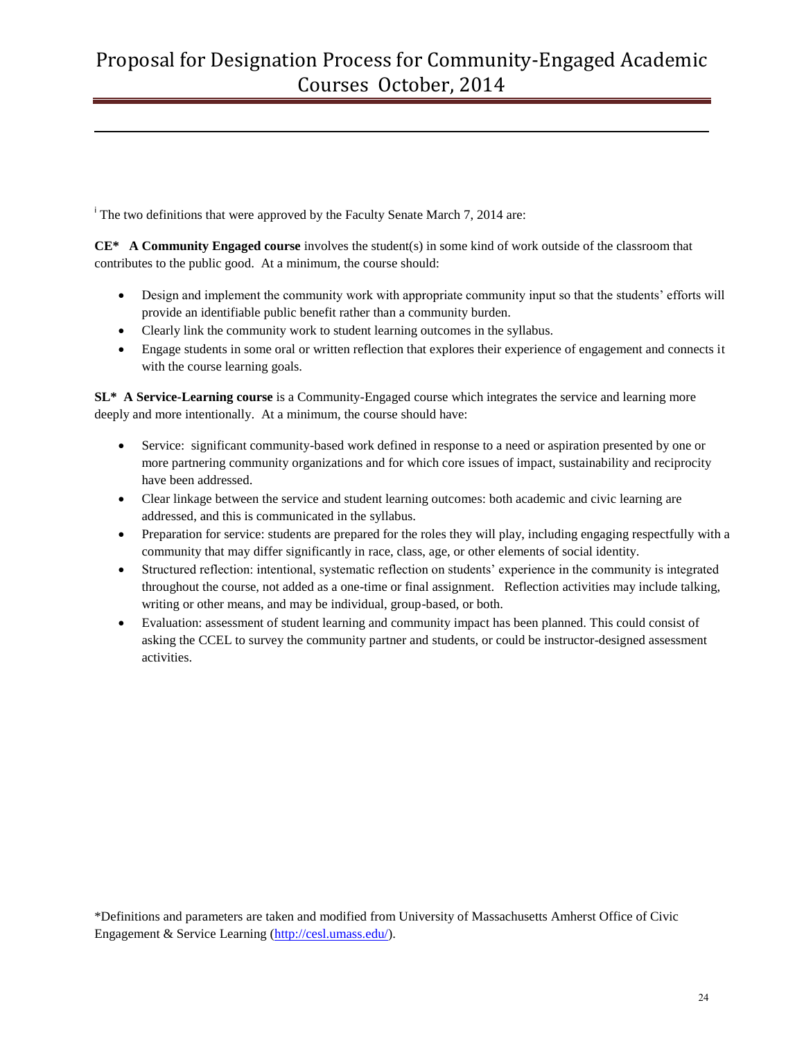The two definitions that were approved by the Faculty Senate March 7, 2014 are:

l

**CE\* A Community Engaged course** involves the student(s) in some kind of work outside of the classroom that contributes to the public good. At a minimum, the course should:

- Design and implement the community work with appropriate community input so that the students' efforts will provide an identifiable public benefit rather than a community burden.
- Clearly link the community work to student learning outcomes in the syllabus.
- Engage students in some oral or written reflection that explores their experience of engagement and connects it with the course learning goals.

**SL\* A Service-Learning course** is a Community-Engaged course which integrates the service and learning more deeply and more intentionally. At a minimum, the course should have:

- Service: significant community-based work defined in response to a need or aspiration presented by one or more partnering community organizations and for which core issues of impact, sustainability and reciprocity have been addressed.
- Clear linkage between the service and student learning outcomes: both academic and civic learning are addressed, and this is communicated in the syllabus.
- Preparation for service: students are prepared for the roles they will play, including engaging respectfully with a community that may differ significantly in race, class, age, or other elements of social identity.
- Structured reflection: intentional, systematic reflection on students' experience in the community is integrated throughout the course, not added as a one-time or final assignment. Reflection activities may include talking, writing or other means, and may be individual, group-based, or both.
- Evaluation: assessment of student learning and community impact has been planned. This could consist of asking the CCEL to survey the community partner and students, or could be instructor-designed assessment activities.

<sup>\*</sup>Definitions and parameters are taken and modified from University of Massachusetts Amherst Office of Civic Engagement & Service Learning [\(http://cesl.umass.edu/\)](http://cesl.umass.edu/).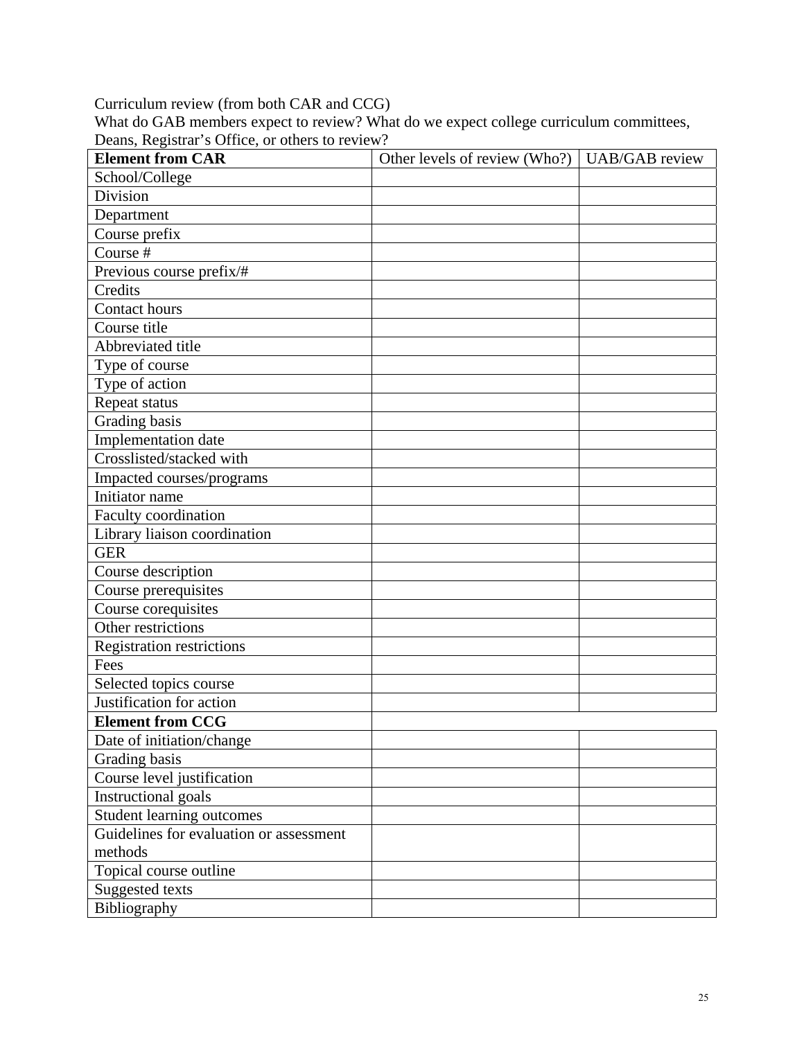Curriculum review (from both CAR and CCG)

What do GAB members expect to review? What do we expect college curriculum committees, Deans, Registrar's Office, or others to review?

| <b>Element from CAR</b>                 | Other levels of review (Who?)   UAB/GAB review |  |
|-----------------------------------------|------------------------------------------------|--|
| School/College                          |                                                |  |
| Division                                |                                                |  |
| Department                              |                                                |  |
| Course prefix                           |                                                |  |
| Course #                                |                                                |  |
| Previous course prefix/#                |                                                |  |
| Credits                                 |                                                |  |
| Contact hours                           |                                                |  |
| Course title                            |                                                |  |
| Abbreviated title                       |                                                |  |
| Type of course                          |                                                |  |
| Type of action                          |                                                |  |
| Repeat status                           |                                                |  |
| Grading basis                           |                                                |  |
| Implementation date                     |                                                |  |
| Crosslisted/stacked with                |                                                |  |
| Impacted courses/programs               |                                                |  |
| Initiator name                          |                                                |  |
| Faculty coordination                    |                                                |  |
| Library liaison coordination            |                                                |  |
| <b>GER</b>                              |                                                |  |
| Course description                      |                                                |  |
| Course prerequisites                    |                                                |  |
| Course corequisites                     |                                                |  |
| Other restrictions                      |                                                |  |
| <b>Registration restrictions</b>        |                                                |  |
| Fees                                    |                                                |  |
| Selected topics course                  |                                                |  |
| Justification for action                |                                                |  |
| <b>Element from CCG</b>                 |                                                |  |
| Date of initiation/change               |                                                |  |
| Grading basis                           |                                                |  |
| Course level justification              |                                                |  |
| <b>Instructional goals</b>              |                                                |  |
| Student learning outcomes               |                                                |  |
| Guidelines for evaluation or assessment |                                                |  |
| methods                                 |                                                |  |
| Topical course outline                  |                                                |  |
| Suggested texts                         |                                                |  |
| Bibliography                            |                                                |  |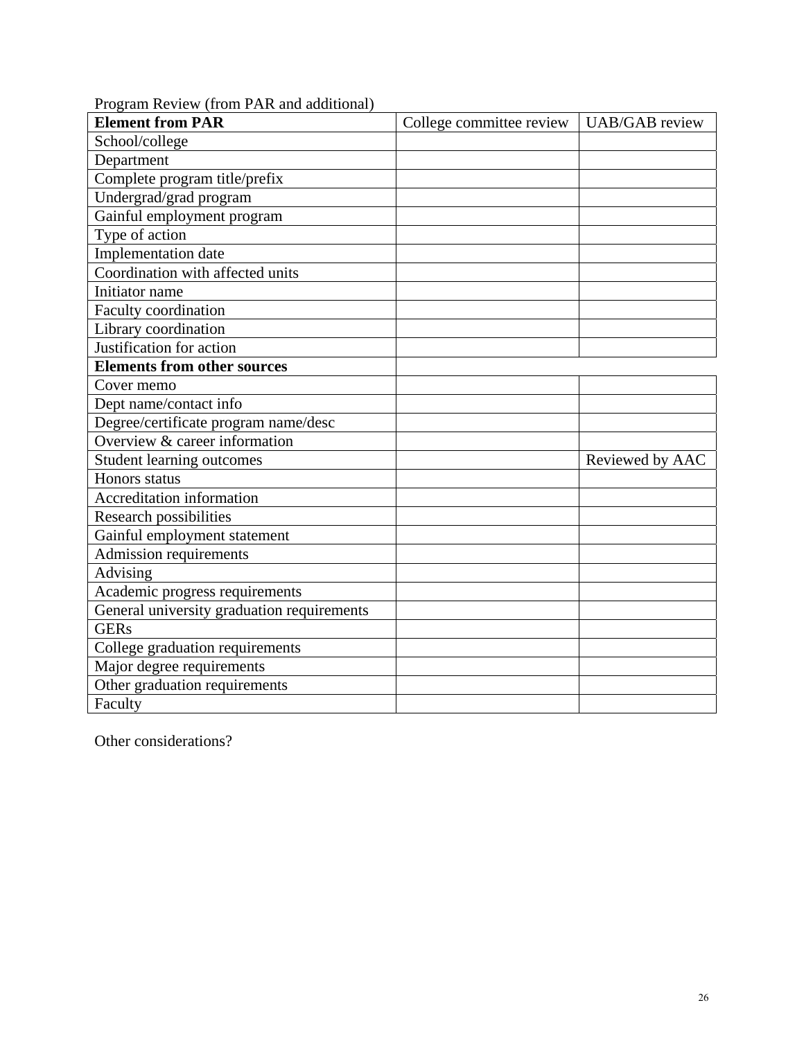| <b>Element from PAR</b>                    | College committee review | <b>UAB/GAB</b> review |
|--------------------------------------------|--------------------------|-----------------------|
| School/college                             |                          |                       |
| Department                                 |                          |                       |
| Complete program title/prefix              |                          |                       |
| Undergrad/grad program                     |                          |                       |
| Gainful employment program                 |                          |                       |
| Type of action                             |                          |                       |
| Implementation date                        |                          |                       |
| Coordination with affected units           |                          |                       |
| Initiator name                             |                          |                       |
| Faculty coordination                       |                          |                       |
| Library coordination                       |                          |                       |
| Justification for action                   |                          |                       |
| <b>Elements from other sources</b>         |                          |                       |
| Cover memo                                 |                          |                       |
| Dept name/contact info                     |                          |                       |
| Degree/certificate program name/desc       |                          |                       |
| Overview & career information              |                          |                       |
| <b>Student learning outcomes</b>           |                          | Reviewed by AAC       |
| Honors status                              |                          |                       |
| Accreditation information                  |                          |                       |
| <b>Research possibilities</b>              |                          |                       |
| Gainful employment statement               |                          |                       |
| Admission requirements                     |                          |                       |
| <b>Advising</b>                            |                          |                       |
| Academic progress requirements             |                          |                       |
| General university graduation requirements |                          |                       |
| <b>GERs</b>                                |                          |                       |
| College graduation requirements            |                          |                       |
| Major degree requirements                  |                          |                       |
| Other graduation requirements              |                          |                       |
| Faculty                                    |                          |                       |

Program Review (from PAR and additional)

Other considerations?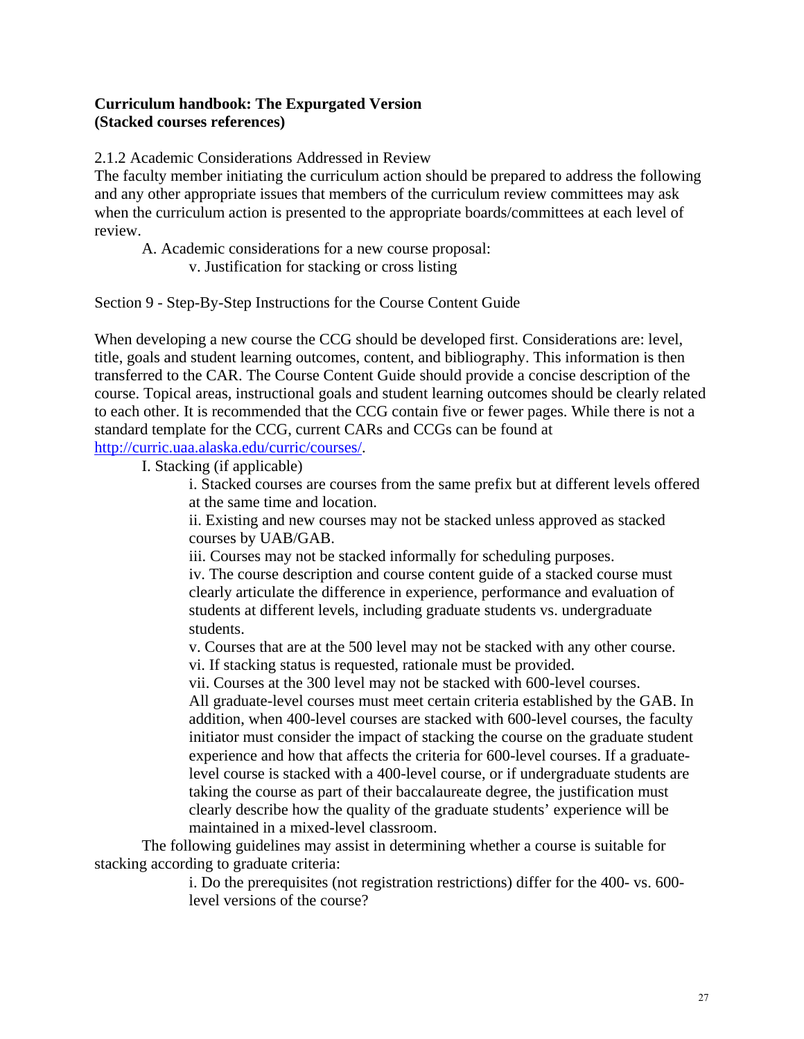# **Curriculum handbook: The Expurgated Version (Stacked courses references)**

2.1.2 Academic Considerations Addressed in Review

The faculty member initiating the curriculum action should be prepared to address the following and any other appropriate issues that members of the curriculum review committees may ask when the curriculum action is presented to the appropriate boards/committees at each level of review.

A. Academic considerations for a new course proposal:

v. Justification for stacking or cross listing

Section 9 - Step-By-Step Instructions for the Course Content Guide

When developing a new course the CCG should be developed first. Considerations are: level, title, goals and student learning outcomes, content, and bibliography. This information is then transferred to the CAR. The Course Content Guide should provide a concise description of the course. Topical areas, instructional goals and student learning outcomes should be clearly related to each other. It is recommended that the CCG contain five or fewer pages. While there is not a standard template for the CCG, current CARs and CCGs can be found at http://curric.uaa.alaska.edu/curric/courses/.

I. Stacking (if applicable)

i. Stacked courses are courses from the same prefix but at different levels offered at the same time and location.

ii. Existing and new courses may not be stacked unless approved as stacked courses by UAB/GAB.

iii. Courses may not be stacked informally for scheduling purposes.

iv. The course description and course content guide of a stacked course must clearly articulate the difference in experience, performance and evaluation of students at different levels, including graduate students vs. undergraduate students.

v. Courses that are at the 500 level may not be stacked with any other course. vi. If stacking status is requested, rationale must be provided.

vii. Courses at the 300 level may not be stacked with 600-level courses.

All graduate-level courses must meet certain criteria established by the GAB. In addition, when 400-level courses are stacked with 600-level courses, the faculty initiator must consider the impact of stacking the course on the graduate student experience and how that affects the criteria for 600-level courses. If a graduatelevel course is stacked with a 400-level course, or if undergraduate students are taking the course as part of their baccalaureate degree, the justification must clearly describe how the quality of the graduate students' experience will be maintained in a mixed-level classroom.

The following guidelines may assist in determining whether a course is suitable for stacking according to graduate criteria:

> i. Do the prerequisites (not registration restrictions) differ for the 400- vs. 600 level versions of the course?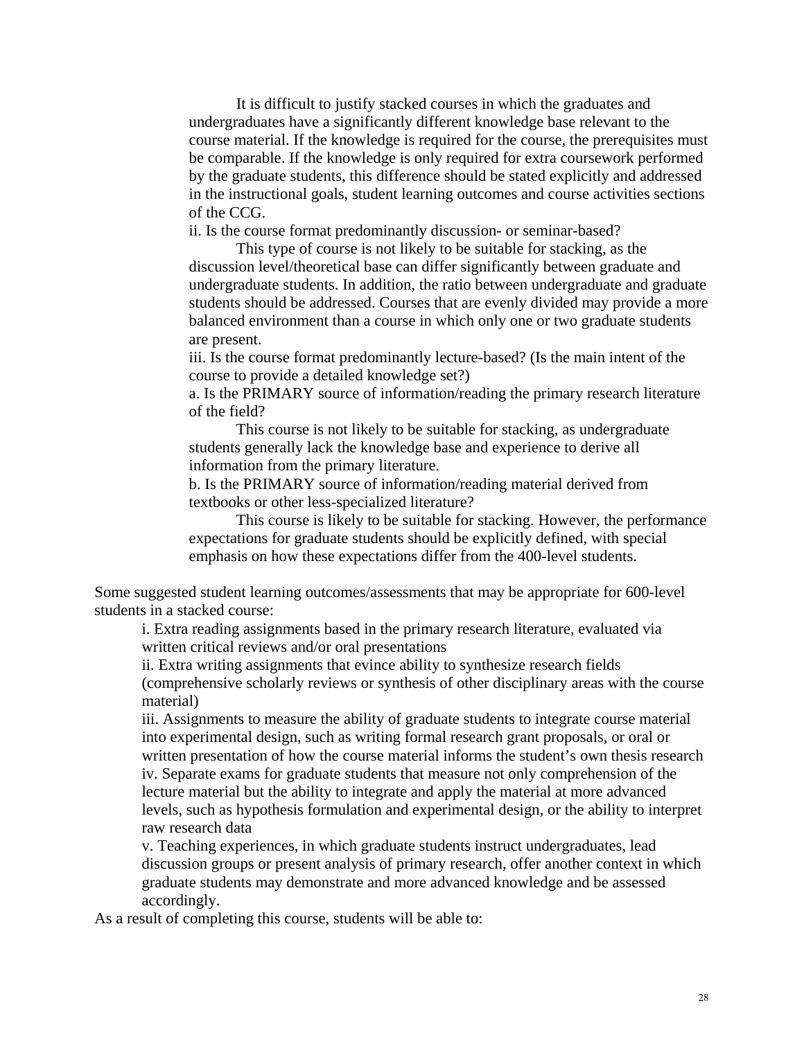It is difficult to justify stacked courses in which the graduates and undergraduates have a significantly different knowledge base relevant to the course material. If the knowledge is required for the course, the prerequisites must be comparable. If the knowledge is only required for extra coursework performed by the graduate students, this difference should be stated explicitly and addressed in the instructional goals, student learning outcomes and course activities sections of the CCG.

ii. Is the course format predominantly discussion- or seminar-based?

This type of course is not likely to be suitable for stacking, as the discussion level/theoretical base can differ significantly between graduate and undergraduate students. In addition, the ratio between undergraduate and graduate students should be addressed. Courses that are evenly divided may provide a more balanced environment than a course in which only one or two graduate students are present.

iii. Is the course format predominantly lecture-based? (Is the main intent of the course to provide a detailed knowledge set?)

a. Is the PRIMARY source of information/reading the primary research literature of the field?

This course is not likely to be suitable for stacking, as undergraduate students generally lack the knowledge base and experience to derive all information from the primary literature.

b. Is the PRIMARY source of information/reading material derived from textbooks or other less-specialized literature?

This course is likely to be suitable for stacking. However, the performance expectations for graduate students should be explicitly defined, with special emphasis on how these expectations differ from the 400-level students.

Some suggested student learning outcomes/assessments that may be appropriate for 600-level students in a stacked course:

i. Extra reading assignments based in the primary research literature, evaluated via written critical reviews and/or oral presentations

ii. Extra writing assignments that evince ability to synthesize research fields (comprehensive scholarly reviews or synthesis of other disciplinary areas with the course material)

iii. Assignments to measure the ability of graduate students to integrate course material into experimental design, such as writing formal research grant proposals, or oral or written presentation of how the course material informs the student's own thesis research iv. Separate exams for graduate students that measure not only comprehension of the lecture material but the ability to integrate and apply the material at more advanced levels, such as hypothesis formulation and experimental design, or the ability to interpret raw research data

v. Teaching experiences, in which graduate students instruct undergraduates, lead discussion groups or present analysis of primary research, offer another context in which graduate students may demonstrate and more advanced knowledge and be assessed accordingly.

As a result of completing this course, students will be able to: